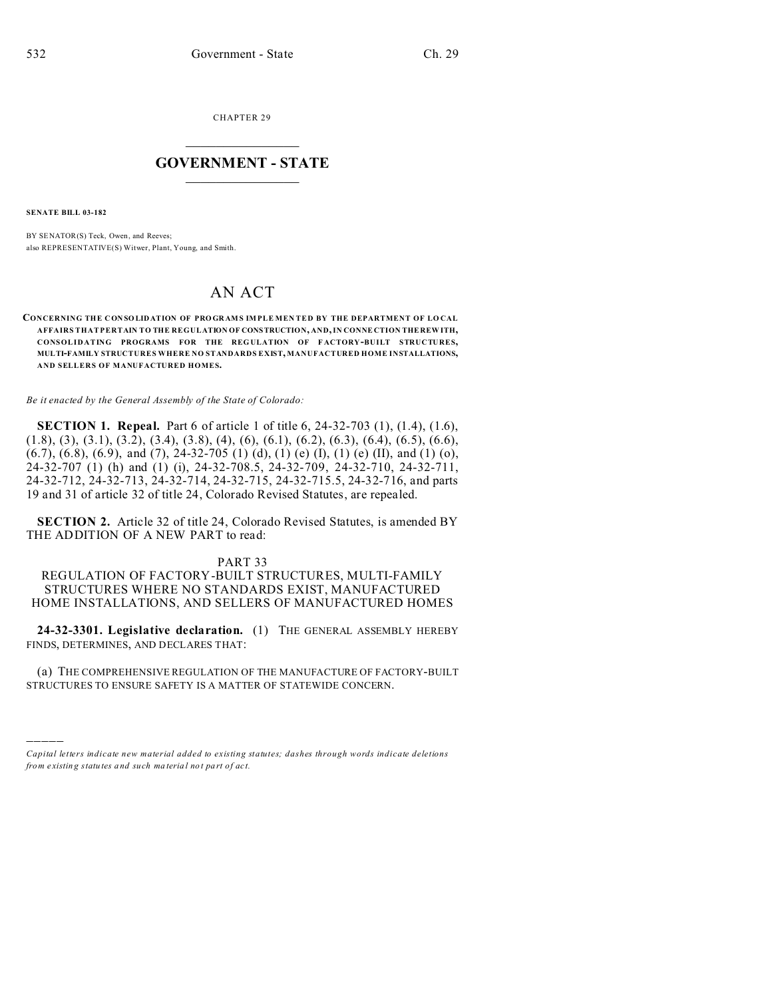CHAPTER 29  $\overline{\phantom{a}}$  , where  $\overline{\phantom{a}}$ 

## **GOVERNMENT - STATE**  $\_$   $\_$

**SENATE BILL 03-182**

)))))

BY SENATOR(S) Teck, Owen, and Reeves; also REPRESENTATIVE(S) Witwer, Plant, Young, and Smith.

## AN ACT

**CONCERNING THE CON SO LIDATION OF PRO GR AMS IMPLE MEN TED BY THE DEPARTMENT OF LO CAL AFFAIRS THAT PERTAIN TO THE REGULATION OF CONSTRUCTION, AND, IN CONNE CTION THE REW ITH, CONSOLIDATING PROGRAMS FOR THE REG ULATION OF F ACTORY-BUILT STRUCTURES, MULTI-FAMILY STRUCTURES WHERE NO STANDARDS EXIST, MANUFACTURED HOME INSTALLATIONS, AND SELLERS OF MANUFACTURED HOMES.**

*Be it enacted by the General Assembly of the State of Colorado:*

**SECTION 1. Repeal.** Part 6 of article 1 of title 6, 24-32-703 (1), (1.4), (1.6), (1.8), (3), (3.1), (3.2), (3.4), (3.8), (4), (6), (6.1), (6.2), (6.3), (6.4), (6.5), (6.6), (6.7), (6.8), (6.9), and (7), 24-32-705 (1) (d), (1) (e) (I), (1) (e) (II), and (1) (o), 24-32-707 (1) (h) and (1) (i), 24-32-708.5, 24-32-709, 24-32-710, 24-32-711, 24-32-712, 24-32-713, 24-32-714, 24-32-715, 24-32-715.5, 24-32-716, and parts 19 and 31 of article 32 of title 24, Colorado Revised Statutes, are repealed.

**SECTION 2.** Article 32 of title 24, Colorado Revised Statutes, is amended BY THE ADDITION OF A NEW PART to read:

## PART 33

REGULATION OF FACTORY-BUILT STRUCTURES, MULTI-FAMILY STRUCTURES WHERE NO STANDARDS EXIST, MANUFACTURED HOME INSTALLATIONS, AND SELLERS OF MANUFACTURED HOMES

**24-32-3301. Legislative declaration.** (1) THE GENERAL ASSEMBLY HEREBY FINDS, DETERMINES, AND DECLARES THAT:

(a) THE COMPREHENSIVE REGULATION OF THE MANUFACTURE OF FACTORY-BUILT STRUCTURES TO ENSURE SAFETY IS A MATTER OF STATEWIDE CONCERN.

*Capital letters indicate new material added to existing statutes; dashes through words indicate deletions from e xistin g statu tes a nd such ma teria l no t pa rt of ac t.*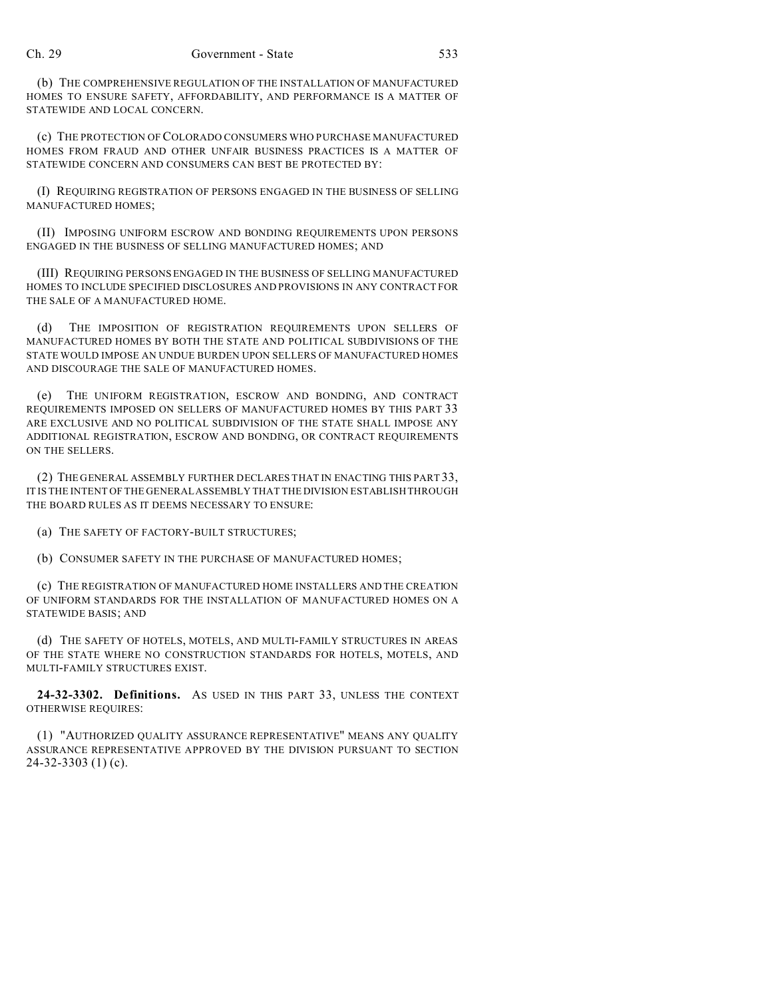(b) THE COMPREHENSIVE REGULATION OF THE INSTALLATION OF MANUFACTURED HOMES TO ENSURE SAFETY, AFFORDABILITY, AND PERFORMANCE IS A MATTER OF STATEWIDE AND LOCAL CONCERN.

(c) THE PROTECTION OFCOLORADO CONSUMERS WHO PURCHASE MANUFACTURED HOMES FROM FRAUD AND OTHER UNFAIR BUSINESS PRACTICES IS A MATTER OF STATEWIDE CONCERN AND CONSUMERS CAN BEST BE PROTECTED BY:

(I) REQUIRING REGISTRATION OF PERSONS ENGAGED IN THE BUSINESS OF SELLING MANUFACTURED HOMES;

(II) IMPOSING UNIFORM ESCROW AND BONDING REQUIREMENTS UPON PERSONS ENGAGED IN THE BUSINESS OF SELLING MANUFACTURED HOMES; AND

(III) REQUIRING PERSONS ENGAGED IN THE BUSINESS OF SELLING MANUFACTURED HOMES TO INCLUDE SPECIFIED DISCLOSURES AND PROVISIONS IN ANY CONTRACT FOR THE SALE OF A MANUFACTURED HOME.

(d) THE IMPOSITION OF REGISTRATION REQUIREMENTS UPON SELLERS OF MANUFACTURED HOMES BY BOTH THE STATE AND POLITICAL SUBDIVISIONS OF THE STATE WOULD IMPOSE AN UNDUE BURDEN UPON SELLERS OF MANUFACTURED HOMES AND DISCOURAGE THE SALE OF MANUFACTURED HOMES.

(e) THE UNIFORM REGISTRATION, ESCROW AND BONDING, AND CONTRACT REQUIREMENTS IMPOSED ON SELLERS OF MANUFACTURED HOMES BY THIS PART 33 ARE EXCLUSIVE AND NO POLITICAL SUBDIVISION OF THE STATE SHALL IMPOSE ANY ADDITIONAL REGISTRATION, ESCROW AND BONDING, OR CONTRACT REQUIREMENTS ON THE SELLERS.

(2) THE GENERAL ASSEMBLY FURTHER DECLARES THAT IN ENACTING THIS PART 33, IT IS THE INTENT OF THE GENERAL ASSEMBLY THAT THE DIVISION ESTABLISH THROUGH THE BOARD RULES AS IT DEEMS NECESSARY TO ENSURE:

(a) THE SAFETY OF FACTORY-BUILT STRUCTURES;

(b) CONSUMER SAFETY IN THE PURCHASE OF MANUFACTURED HOMES;

(c) THE REGISTRATION OF MANUFACTURED HOME INSTALLERS AND THE CREATION OF UNIFORM STANDARDS FOR THE INSTALLATION OF MANUFACTURED HOMES ON A STATEWIDE BASIS; AND

(d) THE SAFETY OF HOTELS, MOTELS, AND MULTI-FAMILY STRUCTURES IN AREAS OF THE STATE WHERE NO CONSTRUCTION STANDARDS FOR HOTELS, MOTELS, AND MULTI-FAMILY STRUCTURES EXIST.

**24-32-3302. Definitions.** AS USED IN THIS PART 33, UNLESS THE CONTEXT OTHERWISE REQUIRES:

(1) "AUTHORIZED QUALITY ASSURANCE REPRESENTATIVE" MEANS ANY QUALITY ASSURANCE REPRESENTATIVE APPROVED BY THE DIVISION PURSUANT TO SECTION 24-32-3303 (1) (c).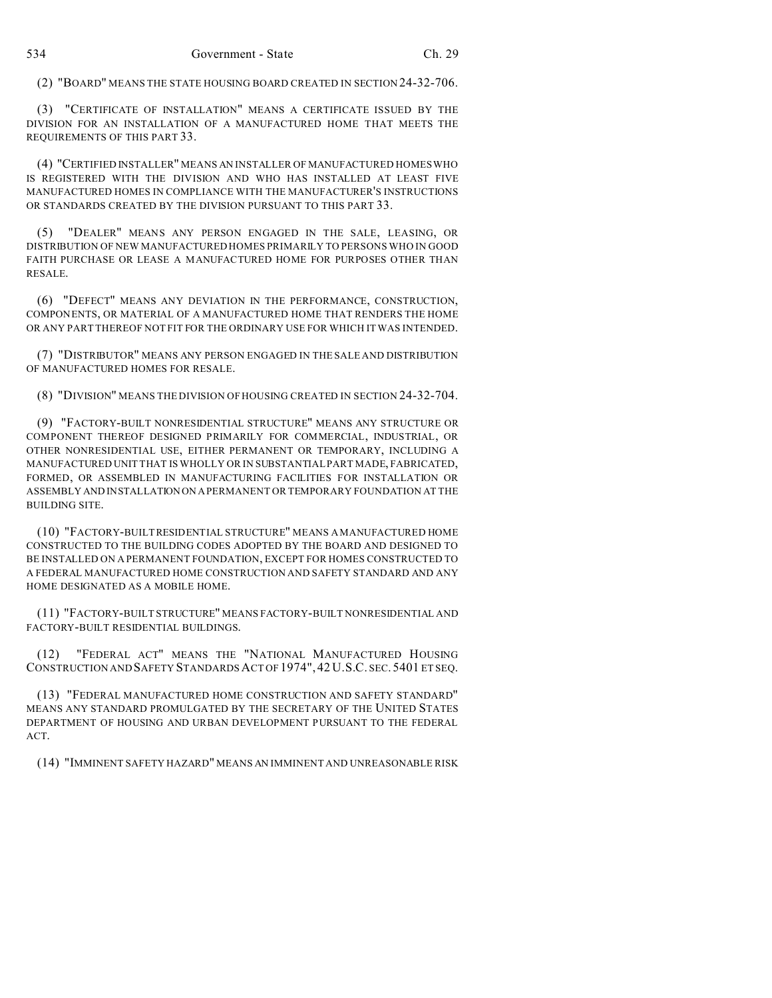(2) "BOARD" MEANS THE STATE HOUSING BOARD CREATED IN SECTION 24-32-706.

(3) "CERTIFICATE OF INSTALLATION" MEANS A CERTIFICATE ISSUED BY THE DIVISION FOR AN INSTALLATION OF A MANUFACTURED HOME THAT MEETS THE REQUIREMENTS OF THIS PART 33.

(4) "CERTIFIED INSTALLER" MEANS AN INSTALLER OF MANUFACTURED HOMES WHO IS REGISTERED WITH THE DIVISION AND WHO HAS INSTALLED AT LEAST FIVE MANUFACTURED HOMES IN COMPLIANCE WITH THE MANUFACTURER'S INSTRUCTIONS OR STANDARDS CREATED BY THE DIVISION PURSUANT TO THIS PART 33.

(5) "DEALER" MEANS ANY PERSON ENGAGED IN THE SALE, LEASING, OR DISTRIBUTION OF NEW MANUFACTURED HOMES PRIMARILY TO PERSONS WHO IN GOOD FAITH PURCHASE OR LEASE A MANUFACTURED HOME FOR PURPOSES OTHER THAN RESALE.

(6) "DEFECT" MEANS ANY DEVIATION IN THE PERFORMANCE, CONSTRUCTION, COMPONENTS, OR MATERIAL OF A MANUFACTURED HOME THAT RENDERS THE HOME OR ANY PART THEREOF NOT FIT FOR THE ORDINARY USE FOR WHICH IT WAS INTENDED.

(7) "DISTRIBUTOR" MEANS ANY PERSON ENGAGED IN THE SALE AND DISTRIBUTION OF MANUFACTURED HOMES FOR RESALE.

(8) "DIVISION" MEANS THE DIVISION OF HOUSING CREATED IN SECTION 24-32-704.

(9) "FACTORY-BUILT NONRESIDENTIAL STRUCTURE" MEANS ANY STRUCTURE OR COMPONENT THEREOF DESIGNED PRIMARILY FOR COMMERCIAL, INDUSTRIAL, OR OTHER NONRESIDENTIAL USE, EITHER PERMANENT OR TEMPORARY, INCLUDING A MANUFACTURED UNIT THAT IS WHOLLY OR IN SUBSTANTIAL PART MADE, FABRICATED, FORMED, OR ASSEMBLED IN MANUFACTURING FACILITIES FOR INSTALLATION OR ASSEMBLY AND INSTALLATION ON A PERMANENT OR TEMPORARY FOUNDATION AT THE BUILDING SITE.

(10) "FACTORY-BUILT RESIDENTIAL STRUCTURE" MEANS A MANUFACTURED HOME CONSTRUCTED TO THE BUILDING CODES ADOPTED BY THE BOARD AND DESIGNED TO BE INSTALLED ON A PERMANENT FOUNDATION, EXCEPT FOR HOMES CONSTRUCTED TO A FEDERAL MANUFACTURED HOME CONSTRUCTION AND SAFETY STANDARD AND ANY HOME DESIGNATED AS A MOBILE HOME.

(11) "FACTORY-BUILT STRUCTURE" MEANS FACTORY-BUILT NONRESIDENTIAL AND FACTORY-BUILT RESIDENTIAL BUILDINGS.

(12) "FEDERAL ACT" MEANS THE "NATIONAL MANUFACTURED HOUSING CONSTRUCTION AND SAFETY STANDARDS ACT OF 1974", 42 U.S.C. SEC. 5401 ET SEQ.

(13) "FEDERAL MANUFACTURED HOME CONSTRUCTION AND SAFETY STANDARD" MEANS ANY STANDARD PROMULGATED BY THE SECRETARY OF THE UNITED STATES DEPARTMENT OF HOUSING AND URBAN DEVELOPMENT PURSUANT TO THE FEDERAL ACT.

(14) "IMMINENT SAFETY HAZARD" MEANS AN IMMINENT AND UNREASONABLE RISK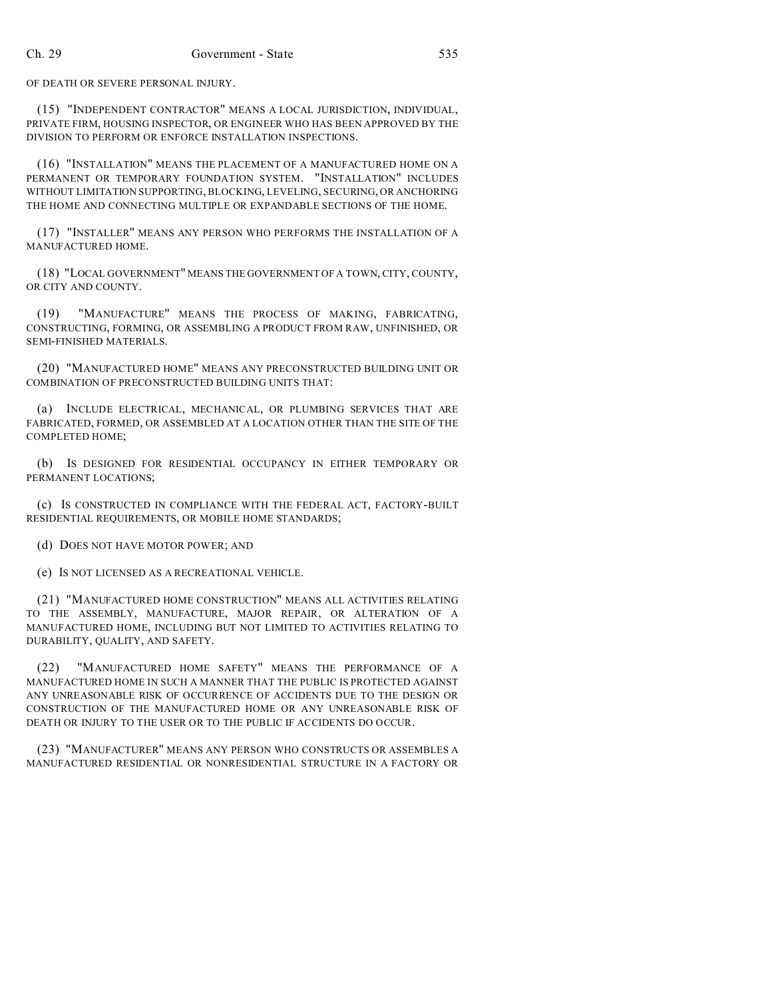OF DEATH OR SEVERE PERSONAL INJURY.

(15) "INDEPENDENT CONTRACTOR" MEANS A LOCAL JURISDICTION, INDIVIDUAL, PRIVATE FIRM, HOUSING INSPECTOR, OR ENGINEER WHO HAS BEEN APPROVED BY THE DIVISION TO PERFORM OR ENFORCE INSTALLATION INSPECTIONS.

(16) "INSTALLATION" MEANS THE PLACEMENT OF A MANUFACTURED HOME ON A PERMANENT OR TEMPORARY FOUNDATION SYSTEM. "INSTALLATION" INCLUDES WITHOUT LIMITATION SUPPORTING, BLOCKING, LEVELING, SECURING, OR ANCHORING THE HOME AND CONNECTING MULTIPLE OR EXPANDABLE SECTIONS OF THE HOME.

(17) "INSTALLER" MEANS ANY PERSON WHO PERFORMS THE INSTALLATION OF A MANUFACTURED HOME.

(18) "LOCAL GOVERNMENT" MEANS THE GOVERNMENT OF A TOWN, CITY, COUNTY, OR CITY AND COUNTY.

(19) "MANUFACTURE" MEANS THE PROCESS OF MAKING, FABRICATING, CONSTRUCTING, FORMING, OR ASSEMBLING A PRODUCT FROM RAW, UNFINISHED, OR SEMI-FINISHED MATERIALS.

(20) "MANUFACTURED HOME" MEANS ANY PRECONSTRUCTED BUILDING UNIT OR COMBINATION OF PRECONSTRUCTED BUILDING UNITS THAT:

(a) INCLUDE ELECTRICAL, MECHANICAL, OR PLUMBING SERVICES THAT ARE FABRICATED, FORMED, OR ASSEMBLED AT A LOCATION OTHER THAN THE SITE OF THE COMPLETED HOME;

(b) IS DESIGNED FOR RESIDENTIAL OCCUPANCY IN EITHER TEMPORARY OR PERMANENT LOCATIONS;

(c) IS CONSTRUCTED IN COMPLIANCE WITH THE FEDERAL ACT, FACTORY-BUILT RESIDENTIAL REQUIREMENTS, OR MOBILE HOME STANDARDS;

(d) DOES NOT HAVE MOTOR POWER; AND

(e) IS NOT LICENSED AS A RECREATIONAL VEHICLE.

(21) "MANUFACTURED HOME CONSTRUCTION" MEANS ALL ACTIVITIES RELATING TO THE ASSEMBLY, MANUFACTURE, MAJOR REPAIR, OR ALTERATION OF A MANUFACTURED HOME, INCLUDING BUT NOT LIMITED TO ACTIVITIES RELATING TO DURABILITY, QUALITY, AND SAFETY.

(22) "MANUFACTURED HOME SAFETY" MEANS THE PERFORMANCE OF A MANUFACTURED HOME IN SUCH A MANNER THAT THE PUBLIC IS PROTECTED AGAINST ANY UNREASONABLE RISK OF OCCURRENCE OF ACCIDENTS DUE TO THE DESIGN OR CONSTRUCTION OF THE MANUFACTURED HOME OR ANY UNREASONABLE RISK OF DEATH OR INJURY TO THE USER OR TO THE PUBLIC IF ACCIDENTS DO OCCUR.

(23) "MANUFACTURER" MEANS ANY PERSON WHO CONSTRUCTS OR ASSEMBLES A MANUFACTURED RESIDENTIAL OR NONRESIDENTIAL STRUCTURE IN A FACTORY OR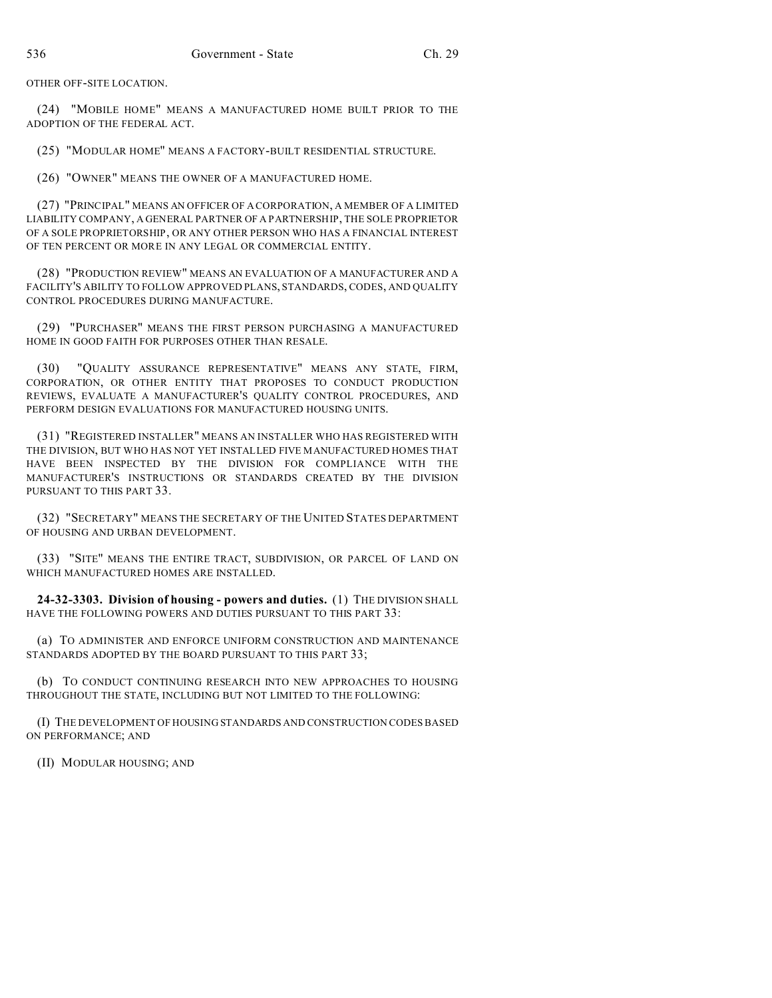OTHER OFF-SITE LOCATION.

(24) "MOBILE HOME" MEANS A MANUFACTURED HOME BUILT PRIOR TO THE ADOPTION OF THE FEDERAL ACT.

(25) "MODULAR HOME" MEANS A FACTORY-BUILT RESIDENTIAL STRUCTURE.

(26) "OWNER" MEANS THE OWNER OF A MANUFACTURED HOME.

(27) "PRINCIPAL" MEANS AN OFFICER OF A CORPORATION, A MEMBER OF A LIMITED LIABILITY COMPANY, A GENERAL PARTNER OF A PARTNERSHIP, THE SOLE PROPRIETOR OF A SOLE PROPRIETORSHIP, OR ANY OTHER PERSON WHO HAS A FINANCIAL INTEREST OF TEN PERCENT OR MORE IN ANY LEGAL OR COMMERCIAL ENTITY.

(28) "PRODUCTION REVIEW" MEANS AN EVALUATION OF A MANUFACTURER AND A FACILITY'S ABILITY TO FOLLOW APPROVED PLANS, STANDARDS, CODES, AND QUALITY CONTROL PROCEDURES DURING MANUFACTURE.

(29) "PURCHASER" MEANS THE FIRST PERSON PURCHASING A MANUFACTURED HOME IN GOOD FAITH FOR PURPOSES OTHER THAN RESALE.

(30) "QUALITY ASSURANCE REPRESENTATIVE" MEANS ANY STATE, FIRM, CORPORATION, OR OTHER ENTITY THAT PROPOSES TO CONDUCT PRODUCTION REVIEWS, EVALUATE A MANUFACTURER'S QUALITY CONTROL PROCEDURES, AND PERFORM DESIGN EVALUATIONS FOR MANUFACTURED HOUSING UNITS.

(31) "REGISTERED INSTALLER" MEANS AN INSTALLER WHO HAS REGISTERED WITH THE DIVISION, BUT WHO HAS NOT YET INSTALLED FIVE MANUFACTURED HOMES THAT HAVE BEEN INSPECTED BY THE DIVISION FOR COMPLIANCE WITH THE MANUFACTURER'S INSTRUCTIONS OR STANDARDS CREATED BY THE DIVISION PURSUANT TO THIS PART 33.

(32) "SECRETARY" MEANS THE SECRETARY OF THE UNITED STATES DEPARTMENT OF HOUSING AND URBAN DEVELOPMENT.

(33) "SITE" MEANS THE ENTIRE TRACT, SUBDIVISION, OR PARCEL OF LAND ON WHICH MANUFACTURED HOMES ARE INSTALLED.

**24-32-3303. Division of housing - powers and duties.** (1) THE DIVISION SHALL HAVE THE FOLLOWING POWERS AND DUTIES PURSUANT TO THIS PART 33:

(a) TO ADMINISTER AND ENFORCE UNIFORM CONSTRUCTION AND MAINTENANCE STANDARDS ADOPTED BY THE BOARD PURSUANT TO THIS PART 33;

(b) TO CONDUCT CONTINUING RESEARCH INTO NEW APPROACHES TO HOUSING THROUGHOUT THE STATE, INCLUDING BUT NOT LIMITED TO THE FOLLOWING:

(I) THE DEVELOPMENT OF HOUSING STANDARDS AND CONSTRUCTION CODES BASED ON PERFORMANCE; AND

(II) MODULAR HOUSING; AND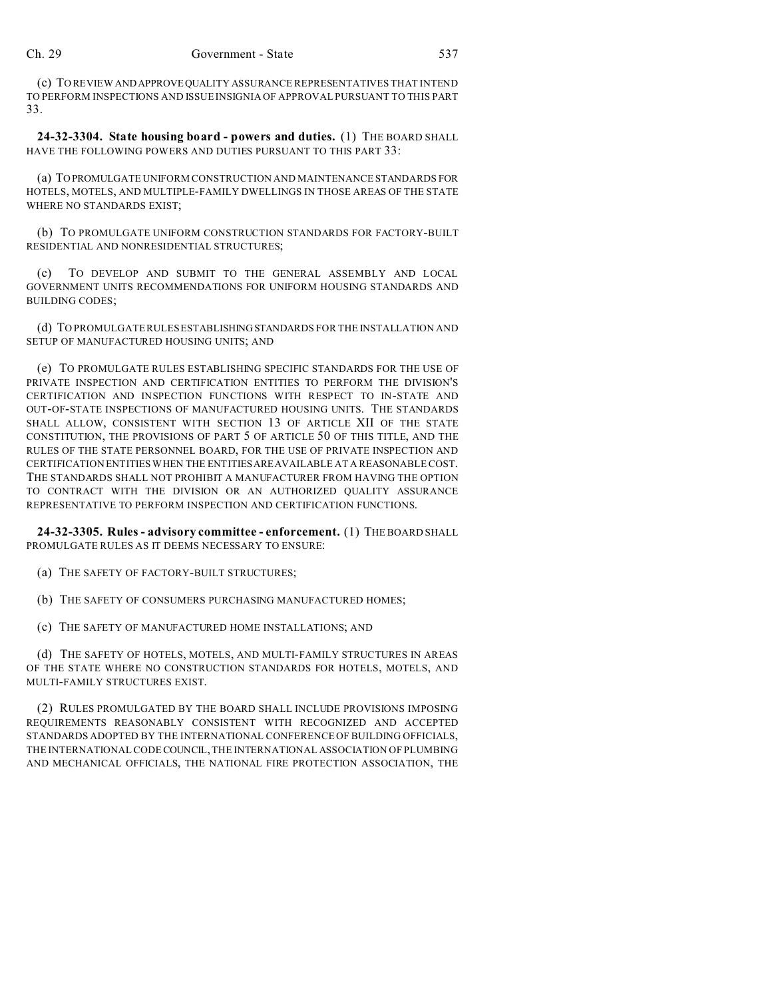(c) TO REVIEW ANDAPPROVEQUALITY ASSURANCE REPRESENTATIVES THAT INTEND TO PERFORM INSPECTIONS AND ISSUE INSIGNIA OF APPROVAL PURSUANT TO THIS PART 33.

**24-32-3304. State housing board - powers and duties.** (1) THE BOARD SHALL HAVE THE FOLLOWING POWERS AND DUTIES PURSUANT TO THIS PART 33:

(a) TO PROMULGATE UNIFORM CONSTRUCTION AND MAINTENANCE STANDARDS FOR HOTELS, MOTELS, AND MULTIPLE-FAMILY DWELLINGS IN THOSE AREAS OF THE STATE WHERE NO STANDARDS EXIST;

(b) TO PROMULGATE UNIFORM CONSTRUCTION STANDARDS FOR FACTORY-BUILT RESIDENTIAL AND NONRESIDENTIAL STRUCTURES;

(c) TO DEVELOP AND SUBMIT TO THE GENERAL ASSEMBLY AND LOCAL GOVERNMENT UNITS RECOMMENDATIONS FOR UNIFORM HOUSING STANDARDS AND BUILDING CODES;

(d) TO PROMULGATE RULES ESTABLISHING STANDARDS FOR THE INSTALLATION AND SETUP OF MANUFACTURED HOUSING UNITS; AND

(e) TO PROMULGATE RULES ESTABLISHING SPECIFIC STANDARDS FOR THE USE OF PRIVATE INSPECTION AND CERTIFICATION ENTITIES TO PERFORM THE DIVISION'S CERTIFICATION AND INSPECTION FUNCTIONS WITH RESPECT TO IN-STATE AND OUT-OF-STATE INSPECTIONS OF MANUFACTURED HOUSING UNITS. THE STANDARDS SHALL ALLOW, CONSISTENT WITH SECTION 13 OF ARTICLE XII OF THE STATE CONSTITUTION, THE PROVISIONS OF PART 5 OF ARTICLE 50 OF THIS TITLE, AND THE RULES OF THE STATE PERSONNEL BOARD, FOR THE USE OF PRIVATE INSPECTION AND CERTIFICATION ENTITIES WHEN THE ENTITIESAREAVAILABLE AT A REASONABLE COST. THE STANDARDS SHALL NOT PROHIBIT A MANUFACTURER FROM HAVING THE OPTION TO CONTRACT WITH THE DIVISION OR AN AUTHORIZED QUALITY ASSURANCE REPRESENTATIVE TO PERFORM INSPECTION AND CERTIFICATION FUNCTIONS.

**24-32-3305. Rules - advisory committee - enforcement.** (1) THE BOARD SHALL PROMULGATE RULES AS IT DEEMS NECESSARY TO ENSURE:

(a) THE SAFETY OF FACTORY-BUILT STRUCTURES;

(b) THE SAFETY OF CONSUMERS PURCHASING MANUFACTURED HOMES;

(c) THE SAFETY OF MANUFACTURED HOME INSTALLATIONS; AND

(d) THE SAFETY OF HOTELS, MOTELS, AND MULTI-FAMILY STRUCTURES IN AREAS OF THE STATE WHERE NO CONSTRUCTION STANDARDS FOR HOTELS, MOTELS, AND MULTI-FAMILY STRUCTURES EXIST.

(2) RULES PROMULGATED BY THE BOARD SHALL INCLUDE PROVISIONS IMPOSING REQUIREMENTS REASONABLY CONSISTENT WITH RECOGNIZED AND ACCEPTED STANDARDS ADOPTED BY THE INTERNATIONAL CONFERENCE OF BUILDING OFFICIALS, THE INTERNATIONAL CODE COUNCIL, THE INTERNATIONAL ASSOCIATION OF PLUMBING AND MECHANICAL OFFICIALS, THE NATIONAL FIRE PROTECTION ASSOCIATION, THE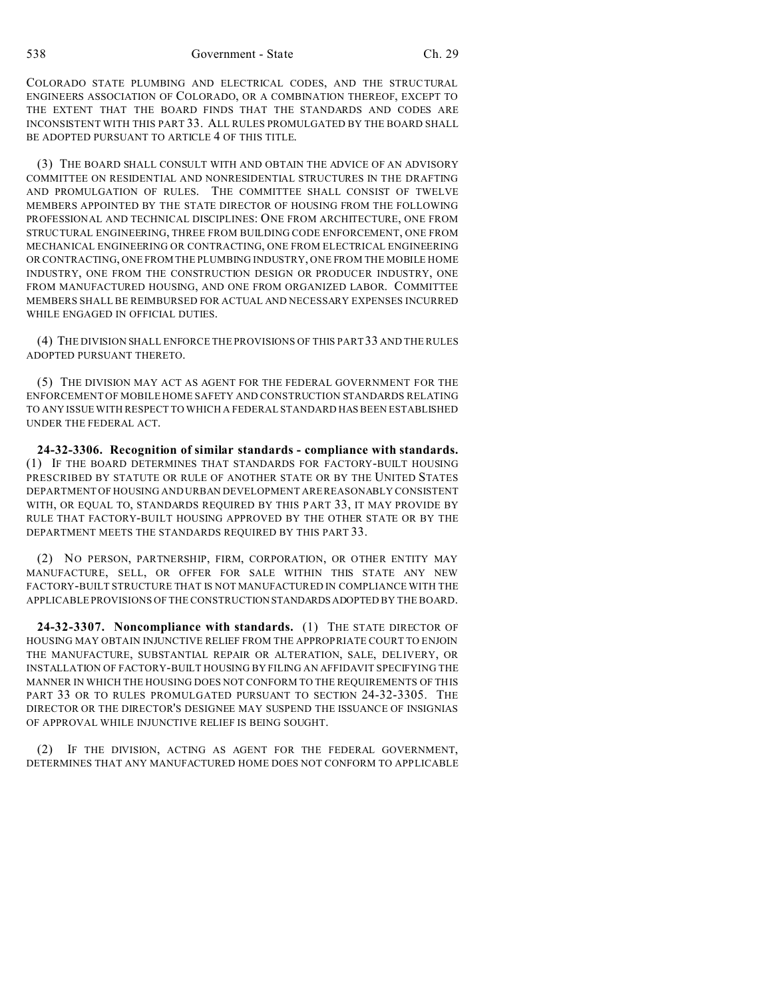COLORADO STATE PLUMBING AND ELECTRICAL CODES, AND THE STRUCTURAL ENGINEERS ASSOCIATION OF COLORADO, OR A COMBINATION THEREOF, EXCEPT TO THE EXTENT THAT THE BOARD FINDS THAT THE STANDARDS AND CODES ARE INCONSISTENT WITH THIS PART 33. ALL RULES PROMULGATED BY THE BOARD SHALL BE ADOPTED PURSUANT TO ARTICLE 4 OF THIS TITLE.

(3) THE BOARD SHALL CONSULT WITH AND OBTAIN THE ADVICE OF AN ADVISORY COMMITTEE ON RESIDENTIAL AND NONRESIDENTIAL STRUCTURES IN THE DRAFTING AND PROMULGATION OF RULES. THE COMMITTEE SHALL CONSIST OF TWELVE MEMBERS APPOINTED BY THE STATE DIRECTOR OF HOUSING FROM THE FOLLOWING PROFESSIONAL AND TECHNICAL DISCIPLINES: ONE FROM ARCHITECTURE, ONE FROM STRUCTURAL ENGINEERING, THREE FROM BUILDING CODE ENFORCEMENT, ONE FROM MECHANICAL ENGINEERING OR CONTRACTING, ONE FROM ELECTRICAL ENGINEERING OR CONTRACTING, ONE FROM THE PLUMBING INDUSTRY, ONE FROM THE MOBILE HOME INDUSTRY, ONE FROM THE CONSTRUCTION DESIGN OR PRODUCER INDUSTRY, ONE FROM MANUFACTURED HOUSING, AND ONE FROM ORGANIZED LABOR. COMMITTEE MEMBERS SHALL BE REIMBURSED FOR ACTUAL AND NECESSARY EXPENSES INCURRED WHILE ENGAGED IN OFFICIAL DUTIES.

(4) THE DIVISION SHALL ENFORCE THE PROVISIONS OF THIS PART33 AND THE RULES ADOPTED PURSUANT THERETO.

(5) THE DIVISION MAY ACT AS AGENT FOR THE FEDERAL GOVERNMENT FOR THE ENFORCEMENT OF MOBILE HOME SAFETY AND CONSTRUCTION STANDARDS RELATING TO ANY ISSUE WITH RESPECT TO WHICH A FEDERAL STANDARD HAS BEEN ESTABLISHED UNDER THE FEDERAL ACT.

**24-32-3306. Recognition of similar standards - compliance with standards.** (1) IF THE BOARD DETERMINES THAT STANDARDS FOR FACTORY-BUILT HOUSING PRESCRIBED BY STATUTE OR RULE OF ANOTHER STATE OR BY THE UNITED STATES DEPARTMENT OF HOUSING AND URBAN DEVELOPMENT ARE REASONABLY CONSISTENT WITH, OR EQUAL TO, STANDARDS REQUIRED BY THIS PART 33, IT MAY PROVIDE BY RULE THAT FACTORY-BUILT HOUSING APPROVED BY THE OTHER STATE OR BY THE DEPARTMENT MEETS THE STANDARDS REQUIRED BY THIS PART 33.

(2) NO PERSON, PARTNERSHIP, FIRM, CORPORATION, OR OTHER ENTITY MAY MANUFACTURE, SELL, OR OFFER FOR SALE WITHIN THIS STATE ANY NEW FACTORY-BUILT STRUCTURE THAT IS NOT MANUFACTURED IN COMPLIANCE WITH THE APPLICABLE PROVISIONS OF THE CONSTRUCTION STANDARDSADOPTED BY THE BOARD.

**24-32-3307. Noncompliance with standards.** (1) THE STATE DIRECTOR OF HOUSING MAY OBTAIN INJUNCTIVE RELIEF FROM THE APPROPRIATE COURT TO ENJOIN THE MANUFACTURE, SUBSTANTIAL REPAIR OR ALTERATION, SALE, DELIVERY, OR INSTALLATION OF FACTORY-BUILT HOUSING BY FILING AN AFFIDAVIT SPECIFYING THE MANNER IN WHICH THE HOUSING DOES NOT CONFORM TO THE REQUIREMENTS OF THIS PART 33 OR TO RULES PROMULGATED PURSUANT TO SECTION 24-32-3305. THE DIRECTOR OR THE DIRECTOR'S DESIGNEE MAY SUSPEND THE ISSUANCE OF INSIGNIAS OF APPROVAL WHILE INJUNCTIVE RELIEF IS BEING SOUGHT.

(2) IF THE DIVISION, ACTING AS AGENT FOR THE FEDERAL GOVERNMENT, DETERMINES THAT ANY MANUFACTURED HOME DOES NOT CONFORM TO APPLICABLE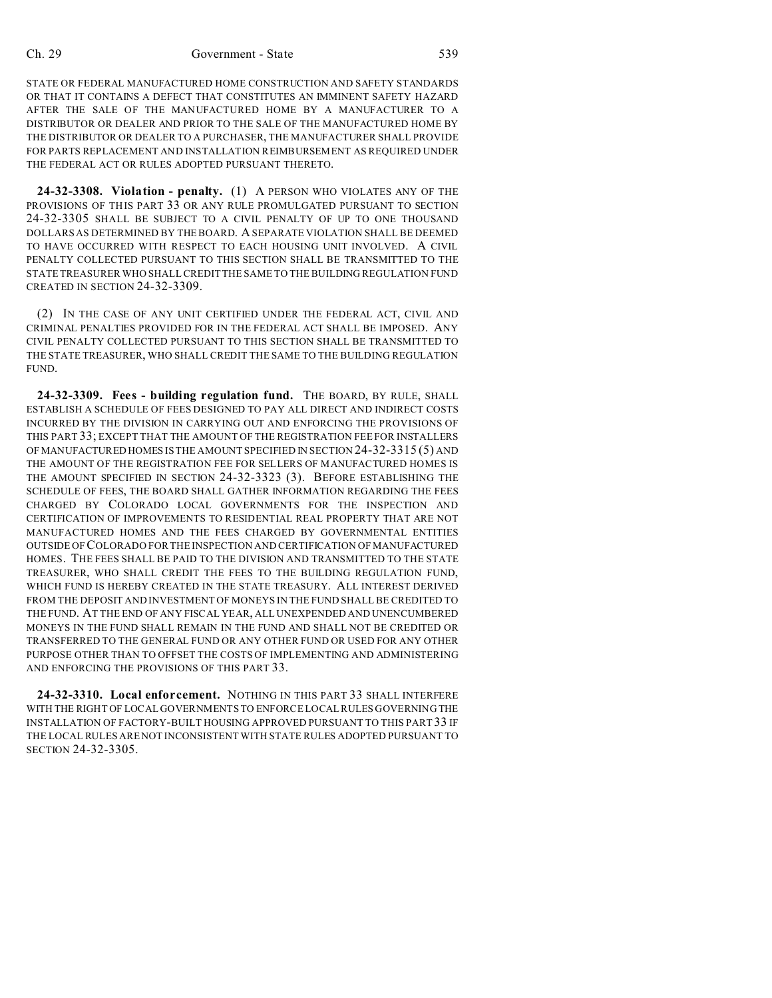STATE OR FEDERAL MANUFACTURED HOME CONSTRUCTION AND SAFETY STANDARDS OR THAT IT CONTAINS A DEFECT THAT CONSTITUTES AN IMMINENT SAFETY HAZARD AFTER THE SALE OF THE MANUFACTURED HOME BY A MANUFACTURER TO A DISTRIBUTOR OR DEALER AND PRIOR TO THE SALE OF THE MANUFACTURED HOME BY THE DISTRIBUTOR OR DEALER TO A PURCHASER, THE MANUFACTURER SHALL PROVIDE FOR PARTS REPLACEMENT AND INSTALLATION REIMBURSEMENT AS REQUIRED UNDER THE FEDERAL ACT OR RULES ADOPTED PURSUANT THERETO.

**24-32-3308. Violation - penalty.** (1) A PERSON WHO VIOLATES ANY OF THE PROVISIONS OF THIS PART 33 OR ANY RULE PROMULGATED PURSUANT TO SECTION 24-32-3305 SHALL BE SUBJECT TO A CIVIL PENALTY OF UP TO ONE THOUSAND DOLLARS AS DETERMINED BY THE BOARD. A SEPARATE VIOLATION SHALL BE DEEMED TO HAVE OCCURRED WITH RESPECT TO EACH HOUSING UNIT INVOLVED. A CIVIL PENALTY COLLECTED PURSUANT TO THIS SECTION SHALL BE TRANSMITTED TO THE STATE TREASURER WHO SHALL CREDIT THE SAME TO THE BUILDING REGULATION FUND CREATED IN SECTION 24-32-3309.

(2) IN THE CASE OF ANY UNIT CERTIFIED UNDER THE FEDERAL ACT, CIVIL AND CRIMINAL PENALTIES PROVIDED FOR IN THE FEDERAL ACT SHALL BE IMPOSED. ANY CIVIL PENALTY COLLECTED PURSUANT TO THIS SECTION SHALL BE TRANSMITTED TO THE STATE TREASURER, WHO SHALL CREDIT THE SAME TO THE BUILDING REGULATION FUND.

**24-32-3309. Fees - building regulation fund.** THE BOARD, BY RULE, SHALL ESTABLISH A SCHEDULE OF FEES DESIGNED TO PAY ALL DIRECT AND INDIRECT COSTS INCURRED BY THE DIVISION IN CARRYING OUT AND ENFORCING THE PROVISIONS OF THIS PART 33; EXCEPT THAT THE AMOUNT OF THE REGISTRATION FEE FOR INSTALLERS OF MANUFACTURED HOMES IS THE AMOUNT SPECIFIED IN SECTION 24-32-3315 (5) AND THE AMOUNT OF THE REGISTRATION FEE FOR SELLERS OF MANUFACTURED HOMES IS THE AMOUNT SPECIFIED IN SECTION 24-32-3323 (3). BEFORE ESTABLISHING THE SCHEDULE OF FEES, THE BOARD SHALL GATHER INFORMATION REGARDING THE FEES CHARGED BY COLORADO LOCAL GOVERNMENTS FOR THE INSPECTION AND CERTIFICATION OF IMPROVEMENTS TO RESIDENTIAL REAL PROPERTY THAT ARE NOT MANUFACTURED HOMES AND THE FEES CHARGED BY GOVERNMENTAL ENTITIES OUTSIDE OF COLORADO FOR THE INSPECTION AND CERTIFICATION OF MANUFACTURED HOMES. THE FEES SHALL BE PAID TO THE DIVISION AND TRANSMITTED TO THE STATE TREASURER, WHO SHALL CREDIT THE FEES TO THE BUILDING REGULATION FUND, WHICH FUND IS HEREBY CREATED IN THE STATE TREASURY. ALL INTEREST DERIVED FROM THE DEPOSIT AND INVESTMENT OF MONEYS IN THE FUND SHALL BE CREDITED TO THE FUND. AT THE END OF ANY FISCAL YEAR, ALL UNEXPENDED AND UNENCUMBERED MONEYS IN THE FUND SHALL REMAIN IN THE FUND AND SHALL NOT BE CREDITED OR TRANSFERRED TO THE GENERAL FUND OR ANY OTHER FUND OR USED FOR ANY OTHER PURPOSE OTHER THAN TO OFFSET THE COSTS OF IMPLEMENTING AND ADMINISTERING AND ENFORCING THE PROVISIONS OF THIS PART 33.

**24-32-3310. Local enforcement.** NOTHING IN THIS PART 33 SHALL INTERFERE WITH THE RIGHT OF LOCAL GOVERNMENTS TO ENFORCE LOCAL RULES GOVERNING THE INSTALLATION OF FACTORY-BUILT HOUSING APPROVED PURSUANT TO THIS PART 33 IF THE LOCAL RULES ARE NOT INCONSISTENT WITH STATE RULES ADOPTED PURSUANT TO SECTION 24-32-3305.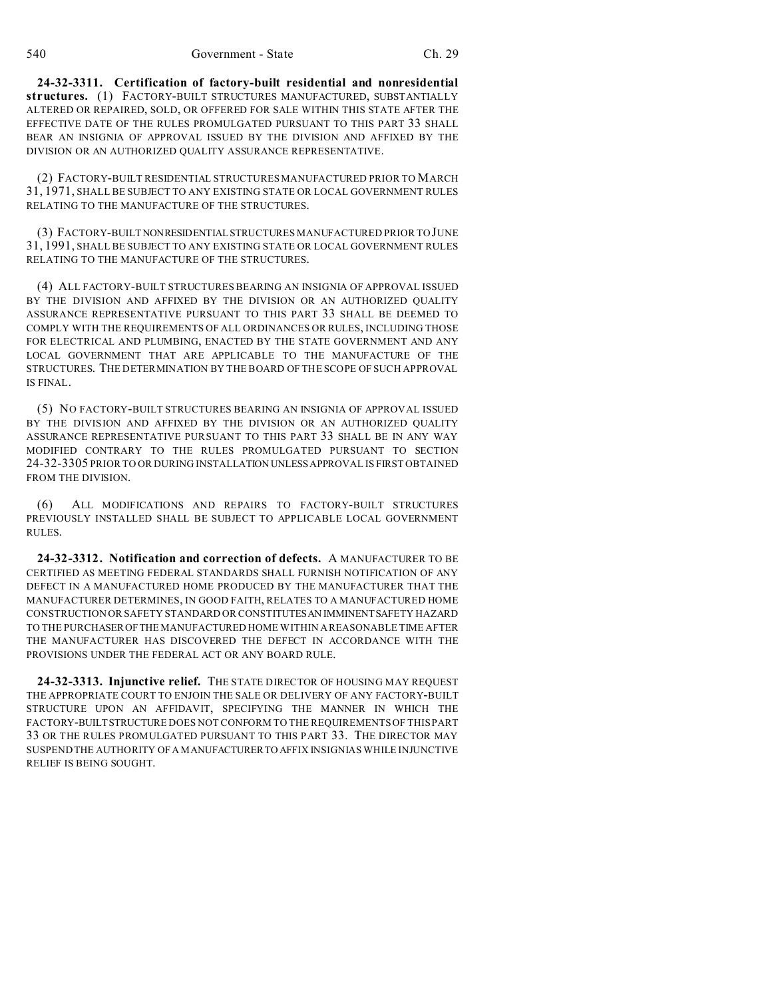**24-32-3311. Certification of factory-built residential and nonresidential structures.** (1) FACTORY-BUILT STRUCTURES MANUFACTURED, SUBSTANTIALLY ALTERED OR REPAIRED, SOLD, OR OFFERED FOR SALE WITHIN THIS STATE AFTER THE EFFECTIVE DATE OF THE RULES PROMULGATED PURSUANT TO THIS PART 33 SHALL BEAR AN INSIGNIA OF APPROVAL ISSUED BY THE DIVISION AND AFFIXED BY THE DIVISION OR AN AUTHORIZED QUALITY ASSURANCE REPRESENTATIVE.

(2) FACTORY-BUILT RESIDENTIAL STRUCTURES MANUFACTURED PRIOR TO MARCH 31, 1971, SHALL BE SUBJECT TO ANY EXISTING STATE OR LOCAL GOVERNMENT RULES RELATING TO THE MANUFACTURE OF THE STRUCTURES.

(3) FACTORY-BUILTNONRESIDENTIALSTRUCTURES MANUFACTURED PRIOR TO JUNE 31, 1991, SHALL BE SUBJECT TO ANY EXISTING STATE OR LOCAL GOVERNMENT RULES RELATING TO THE MANUFACTURE OF THE STRUCTURES.

(4) ALL FACTORY-BUILT STRUCTURES BEARING AN INSIGNIA OF APPROVAL ISSUED BY THE DIVISION AND AFFIXED BY THE DIVISION OR AN AUTHORIZED OUALITY ASSURANCE REPRESENTATIVE PURSUANT TO THIS PART 33 SHALL BE DEEMED TO COMPLY WITH THE REQUIREMENTS OF ALL ORDINANCES OR RULES, INCLUDING THOSE FOR ELECTRICAL AND PLUMBING, ENACTED BY THE STATE GOVERNMENT AND ANY LOCAL GOVERNMENT THAT ARE APPLICABLE TO THE MANUFACTURE OF THE STRUCTURES. THE DETERMINATION BY THE BOARD OF THE SCOPE OF SUCH APPROVAL IS FINAL.

(5) NO FACTORY-BUILT STRUCTURES BEARING AN INSIGNIA OF APPROVAL ISSUED BY THE DIVISION AND AFFIXED BY THE DIVISION OR AN AUTHORIZED QUALITY ASSURANCE REPRESENTATIVE PURSUANT TO THIS PART 33 SHALL BE IN ANY WAY MODIFIED CONTRARY TO THE RULES PROMULGATED PURSUANT TO SECTION 24-32-3305 PRIOR TO OR DURING INSTALLATION UNLESSAPPROVAL IS FIRST OBTAINED FROM THE DIVISION.

(6) ALL MODIFICATIONS AND REPAIRS TO FACTORY-BUILT STRUCTURES PREVIOUSLY INSTALLED SHALL BE SUBJECT TO APPLICABLE LOCAL GOVERNMENT RULES.

**24-32-3312. Notification and correction of defects.** A MANUFACTURER TO BE CERTIFIED AS MEETING FEDERAL STANDARDS SHALL FURNISH NOTIFICATION OF ANY DEFECT IN A MANUFACTURED HOME PRODUCED BY THE MANUFACTURER THAT THE MANUFACTURER DETERMINES, IN GOOD FAITH, RELATES TO A MANUFACTURED HOME CONSTRUCTION OR SAFETY STANDARD OR CONSTITUTESAN IMMINENTSAFETY HAZARD TO THE PURCHASEROFTHE MANUFACTURED HOME WITHIN A REASONABLE TIME AFTER THE MANUFACTURER HAS DISCOVERED THE DEFECT IN ACCORDANCE WITH THE PROVISIONS UNDER THE FEDERAL ACT OR ANY BOARD RULE.

**24-32-3313. Injunctive relief.** THE STATE DIRECTOR OF HOUSING MAY REQUEST THE APPROPRIATE COURT TO ENJOIN THE SALE OR DELIVERY OF ANY FACTORY-BUILT STRUCTURE UPON AN AFFIDAVIT, SPECIFYING THE MANNER IN WHICH THE FACTORY-BUILTSTRUCTURE DOES NOT CONFORM TO THE REQUIREMENTS OF THIS PART 33 OR THE RULES PROMULGATED PURSUANT TO THIS PART 33. THE DIRECTOR MAY SUSPEND THE AUTHORITY OF A MANUFACTURERTO AFFIX INSIGNIAS WHILE INJUNCTIVE RELIEF IS BEING SOUGHT.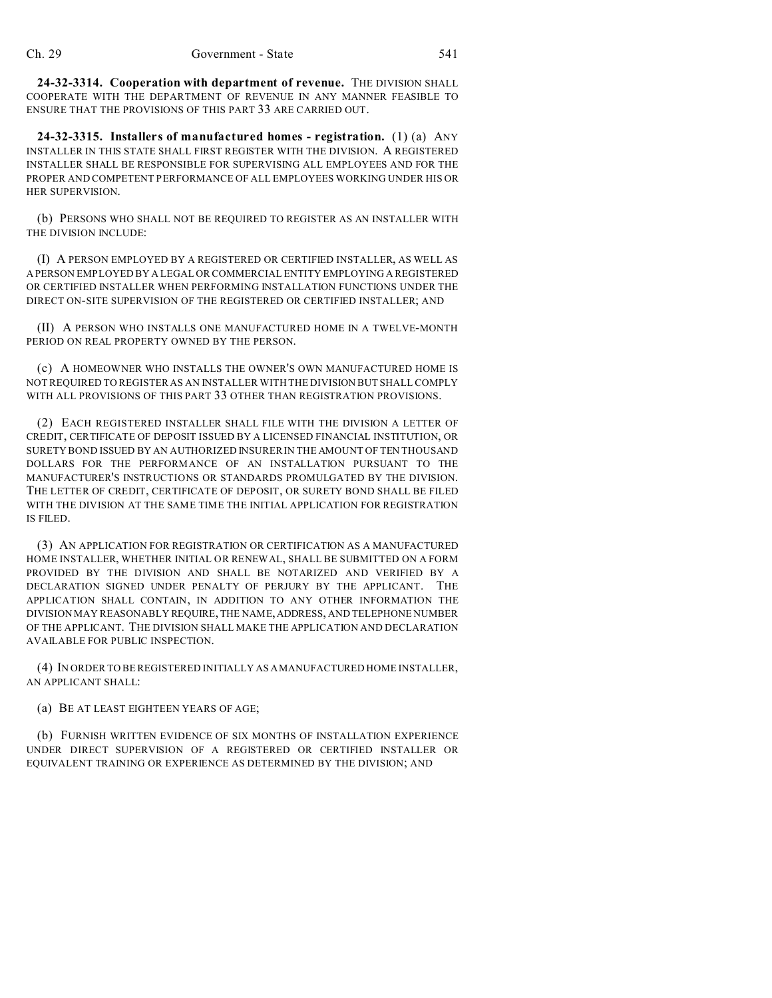**24-32-3314. Cooperation with department of revenue.** THE DIVISION SHALL COOPERATE WITH THE DEPARTMENT OF REVENUE IN ANY MANNER FEASIBLE TO ENSURE THAT THE PROVISIONS OF THIS PART 33 ARE CARRIED OUT.

**24-32-3315. Installers of manufactured homes - registration.** (1) (a) ANY INSTALLER IN THIS STATE SHALL FIRST REGISTER WITH THE DIVISION. A REGISTERED INSTALLER SHALL BE RESPONSIBLE FOR SUPERVISING ALL EMPLOYEES AND FOR THE PROPER AND COMPETENT PERFORMANCE OF ALL EMPLOYEES WORKING UNDER HIS OR HER SUPERVISION.

(b) PERSONS WHO SHALL NOT BE REQUIRED TO REGISTER AS AN INSTALLER WITH THE DIVISION INCLUDE:

(I) A PERSON EMPLOYED BY A REGISTERED OR CERTIFIED INSTALLER, AS WELL AS A PERSON EMPLOYED BY A LEGAL OR COMMERCIAL ENTITY EMPLOYING A REGISTERED OR CERTIFIED INSTALLER WHEN PERFORMING INSTALLATION FUNCTIONS UNDER THE DIRECT ON-SITE SUPERVISION OF THE REGISTERED OR CERTIFIED INSTALLER; AND

(II) A PERSON WHO INSTALLS ONE MANUFACTURED HOME IN A TWELVE-MONTH PERIOD ON REAL PROPERTY OWNED BY THE PERSON.

(c) A HOMEOWNER WHO INSTALLS THE OWNER'S OWN MANUFACTURED HOME IS NOT REQUIRED TO REGISTER AS AN INSTALLER WITH THE DIVISION BUT SHALL COMPLY WITH ALL PROVISIONS OF THIS PART 33 OTHER THAN REGISTRATION PROVISIONS.

(2) EACH REGISTERED INSTALLER SHALL FILE WITH THE DIVISION A LETTER OF CREDIT, CERTIFICATE OF DEPOSIT ISSUED BY A LICENSED FINANCIAL INSTITUTION, OR SURETY BOND ISSUED BY AN AUTHORIZED INSURER IN THE AMOUNT OF TEN THOUSAND DOLLARS FOR THE PERFORMANCE OF AN INSTALLATION PURSUANT TO THE MANUFACTURER'S INSTRUCTIONS OR STANDARDS PROMULGATED BY THE DIVISION. THE LETTER OF CREDIT, CERTIFICATE OF DEPOSIT, OR SURETY BOND SHALL BE FILED WITH THE DIVISION AT THE SAME TIME THE INITIAL APPLICATION FOR REGISTRATION IS FILED.

(3) AN APPLICATION FOR REGISTRATION OR CERTIFICATION AS A MANUFACTURED HOME INSTALLER, WHETHER INITIAL OR RENEWAL, SHALL BE SUBMITTED ON A FORM PROVIDED BY THE DIVISION AND SHALL BE NOTARIZED AND VERIFIED BY A DECLARATION SIGNED UNDER PENALTY OF PERJURY BY THE APPLICANT. THE APPLICATION SHALL CONTAIN, IN ADDITION TO ANY OTHER INFORMATION THE DIVISION MAY REASONABLY REQUIRE, THE NAME,ADDRESS, AND TELEPHONE NUMBER OF THE APPLICANT. THE DIVISION SHALL MAKE THE APPLICATION AND DECLARATION AVAILABLE FOR PUBLIC INSPECTION.

(4) IN ORDER TO BE REGISTERED INITIALLY AS A MANUFACTURED HOME INSTALLER, AN APPLICANT SHALL:

(a) BE AT LEAST EIGHTEEN YEARS OF AGE;

(b) FURNISH WRITTEN EVIDENCE OF SIX MONTHS OF INSTALLATION EXPERIENCE UNDER DIRECT SUPERVISION OF A REGISTERED OR CERTIFIED INSTALLER OR EQUIVALENT TRAINING OR EXPERIENCE AS DETERMINED BY THE DIVISION; AND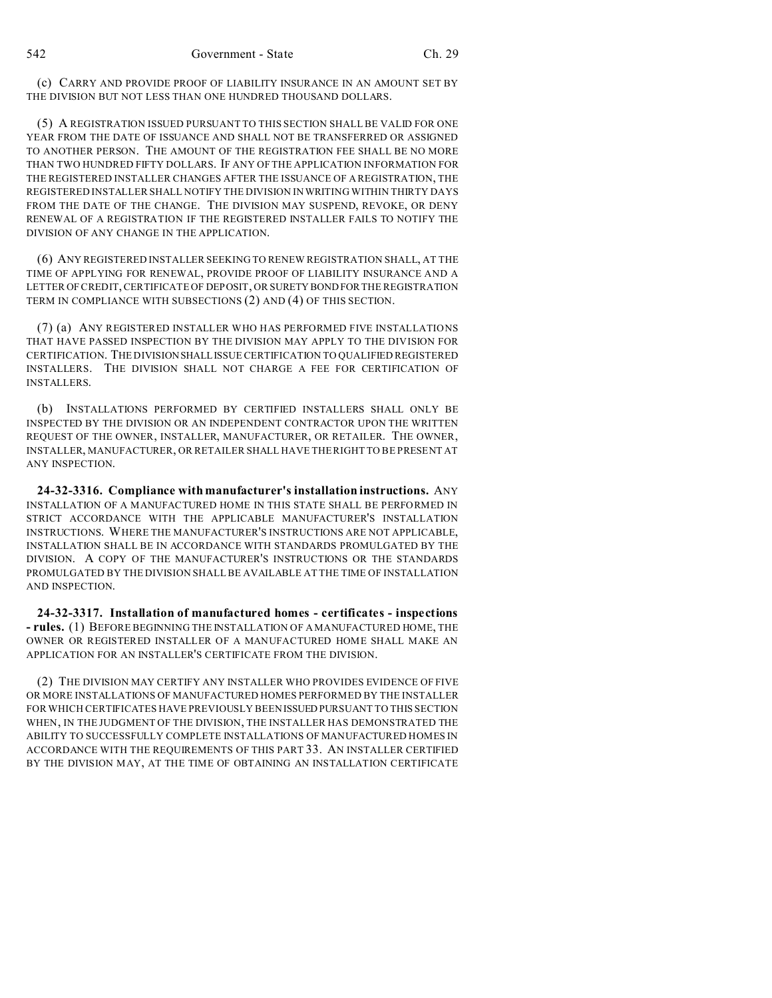(c) CARRY AND PROVIDE PROOF OF LIABILITY INSURANCE IN AN AMOUNT SET BY THE DIVISION BUT NOT LESS THAN ONE HUNDRED THOUSAND DOLLARS.

(5) A REGISTRATION ISSUED PURSUANT TO THIS SECTION SHALL BE VALID FOR ONE YEAR FROM THE DATE OF ISSUANCE AND SHALL NOT BE TRANSFERRED OR ASSIGNED TO ANOTHER PERSON. THE AMOUNT OF THE REGISTRATION FEE SHALL BE NO MORE THAN TWO HUNDRED FIFTY DOLLARS. IF ANY OF THE APPLICATION INFORMATION FOR THE REGISTERED INSTALLER CHANGES AFTER THE ISSUANCE OF A REGISTRATION, THE REGISTERED INSTALLER SHALL NOTIFY THE DIVISION IN WRITING WITHIN THIRTY DAYS FROM THE DATE OF THE CHANGE. THE DIVISION MAY SUSPEND, REVOKE, OR DENY RENEWAL OF A REGISTRATION IF THE REGISTERED INSTALLER FAILS TO NOTIFY THE DIVISION OF ANY CHANGE IN THE APPLICATION.

(6) ANY REGISTERED INSTALLER SEEKING TO RENEW REGISTRATION SHALL, AT THE TIME OF APPLYING FOR RENEWAL, PROVIDE PROOF OF LIABILITY INSURANCE AND A LETTER OF CREDIT, CERTIFICATE OF DEPOSIT, OR SURETY BOND FOR THE REGISTRATION TERM IN COMPLIANCE WITH SUBSECTIONS (2) AND (4) OF THIS SECTION.

(7) (a) ANY REGISTERED INSTALLER WHO HAS PERFORMED FIVE INSTALLATIONS THAT HAVE PASSED INSPECTION BY THE DIVISION MAY APPLY TO THE DIVISION FOR CERTIFICATION. THE DIVISIONSHALLISSUE CERTIFICATION TO QUALIFIED REGISTERED INSTALLERS. THE DIVISION SHALL NOT CHARGE A FEE FOR CERTIFICATION OF INSTALLERS.

(b) INSTALLATIONS PERFORMED BY CERTIFIED INSTALLERS SHALL ONLY BE INSPECTED BY THE DIVISION OR AN INDEPENDENT CONTRACTOR UPON THE WRITTEN REQUEST OF THE OWNER, INSTALLER, MANUFACTURER, OR RETAILER. THE OWNER, INSTALLER, MANUFACTURER, OR RETAILER SHALL HAVE THE RIGHT TO BE PRESENT AT ANY INSPECTION.

**24-32-3316. Compliance with manufacturer's installation instructions.** ANY INSTALLATION OF A MANUFACTURED HOME IN THIS STATE SHALL BE PERFORMED IN STRICT ACCORDANCE WITH THE APPLICABLE MANUFACTURER'S INSTALLATION INSTRUCTIONS. WHERE THE MANUFACTURER'S INSTRUCTIONS ARE NOT APPLICABLE, INSTALLATION SHALL BE IN ACCORDANCE WITH STANDARDS PROMULGATED BY THE DIVISION. A COPY OF THE MANUFACTURER'S INSTRUCTIONS OR THE STANDARDS PROMULGATED BY THE DIVISION SHALL BE AVAILABLE AT THE TIME OF INSTALLATION AND INSPECTION.

**24-32-3317. Installation of manufactured homes - certificates - inspections - rules.** (1) BEFORE BEGINNING THE INSTALLATION OF A MANUFACTURED HOME, THE OWNER OR REGISTERED INSTALLER OF A MANUFACTURED HOME SHALL MAKE AN APPLICATION FOR AN INSTALLER'S CERTIFICATE FROM THE DIVISION.

(2) THE DIVISION MAY CERTIFY ANY INSTALLER WHO PROVIDES EVIDENCE OF FIVE OR MORE INSTALLATIONS OF MANUFACTURED HOMES PERFORMED BY THE INSTALLER FOR WHICH CERTIFICATES HAVE PREVIOUSLY BEEN ISSUED PURSUANT TO THIS SECTION WHEN, IN THE JUDGMENT OF THE DIVISION, THE INSTALLER HAS DEMONSTRATED THE ABILITY TO SUCCESSFULLY COMPLETE INSTALLATIONS OF MANUFACTURED HOMES IN ACCORDANCE WITH THE REQUIREMENTS OF THIS PART 33. AN INSTALLER CERTIFIED BY THE DIVISION MAY, AT THE TIME OF OBTAINING AN INSTALLATION CERTIFICATE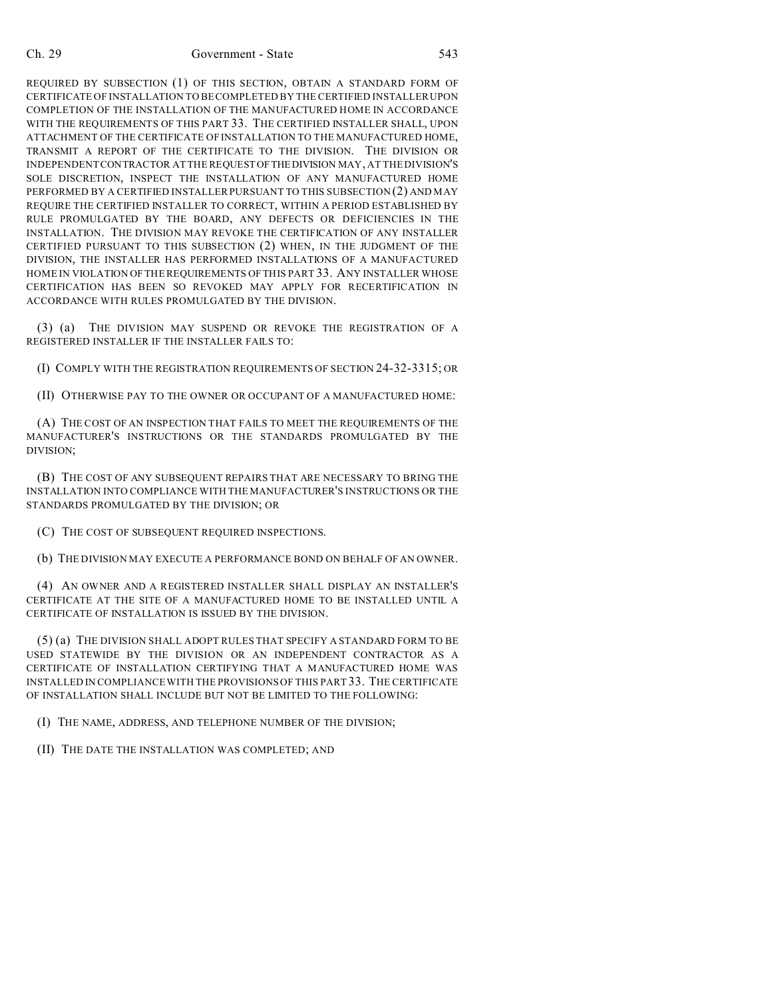## Ch. 29 Government - State 543

REQUIRED BY SUBSECTION (1) OF THIS SECTION, OBTAIN A STANDARD FORM OF CERTIFICATE OF INSTALLATION TO BE COMPLETED BY THE CERTIFIED INSTALLER UPON COMPLETION OF THE INSTALLATION OF THE MANUFACTURED HOME IN ACCORDANCE WITH THE REQUIREMENTS OF THIS PART 33. THE CERTIFIED INSTALLER SHALL, UPON ATTACHMENT OF THE CERTIFICATE OF INSTALLATION TO THE MANUFACTURED HOME, TRANSMIT A REPORT OF THE CERTIFICATE TO THE DIVISION. THE DIVISION OR INDEPENDENT CONTRACTOR AT THE REQUESTOFTHEDIVISION MAY, AT THE DIVISION'S SOLE DISCRETION, INSPECT THE INSTALLATION OF ANY MANUFACTURED HOME PERFORMED BY A CERTIFIED INSTALLER PURSUANT TO THIS SUBSECTION (2) AND MAY REQUIRE THE CERTIFIED INSTALLER TO CORRECT, WITHIN A PERIOD ESTABLISHED BY RULE PROMULGATED BY THE BOARD, ANY DEFECTS OR DEFICIENCIES IN THE INSTALLATION. THE DIVISION MAY REVOKE THE CERTIFICATION OF ANY INSTALLER CERTIFIED PURSUANT TO THIS SUBSECTION (2) WHEN, IN THE JUDGMENT OF THE DIVISION, THE INSTALLER HAS PERFORMED INSTALLATIONS OF A MANUFACTURED HOME IN VIOLATION OF THE REQUIREMENTS OF THIS PART 33. ANY INSTALLER WHOSE CERTIFICATION HAS BEEN SO REVOKED MAY APPLY FOR RECERTIFICATION IN ACCORDANCE WITH RULES PROMULGATED BY THE DIVISION.

(3) (a) THE DIVISION MAY SUSPEND OR REVOKE THE REGISTRATION OF A REGISTERED INSTALLER IF THE INSTALLER FAILS TO:

(I) COMPLY WITH THE REGISTRATION REQUIREMENTS OF SECTION 24-32-3315; OR

(II) OTHERWISE PAY TO THE OWNER OR OCCUPANT OF A MANUFACTURED HOME:

(A) THE COST OF AN INSPECTION THAT FAILS TO MEET THE REQUIREMENTS OF THE MANUFACTURER'S INSTRUCTIONS OR THE STANDARDS PROMULGATED BY THE DIVISION;

(B) THE COST OF ANY SUBSEQUENT REPAIRS THAT ARE NECESSARY TO BRING THE INSTALLATION INTO COMPLIANCE WITH THE MANUFACTURER'S INSTRUCTIONS OR THE STANDARDS PROMULGATED BY THE DIVISION; OR

(C) THE COST OF SUBSEQUENT REQUIRED INSPECTIONS.

(b) THE DIVISION MAY EXECUTE A PERFORMANCE BOND ON BEHALF OF AN OWNER.

(4) AN OWNER AND A REGISTERED INSTALLER SHALL DISPLAY AN INSTALLER'S CERTIFICATE AT THE SITE OF A MANUFACTURED HOME TO BE INSTALLED UNTIL A CERTIFICATE OF INSTALLATION IS ISSUED BY THE DIVISION.

(5) (a) THE DIVISION SHALL ADOPT RULES THAT SPECIFY A STANDARD FORM TO BE USED STATEWIDE BY THE DIVISION OR AN INDEPENDENT CONTRACTOR AS A CERTIFICATE OF INSTALLATION CERTIFYING THAT A MANUFACTURED HOME WAS INSTALLED IN COMPLIANCE WITH THE PROVISIONS OF THIS PART 33. THE CERTIFICATE OF INSTALLATION SHALL INCLUDE BUT NOT BE LIMITED TO THE FOLLOWING:

(I) THE NAME, ADDRESS, AND TELEPHONE NUMBER OF THE DIVISION;

(II) THE DATE THE INSTALLATION WAS COMPLETED; AND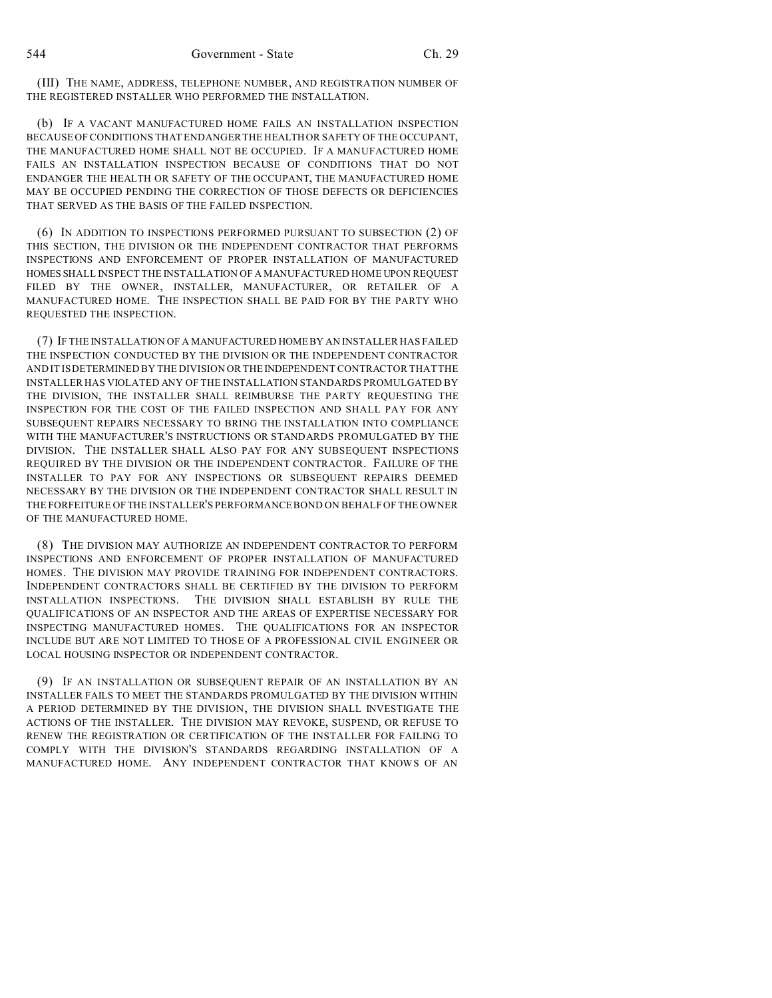(III) THE NAME, ADDRESS, TELEPHONE NUMBER, AND REGISTRATION NUMBER OF THE REGISTERED INSTALLER WHO PERFORMED THE INSTALLATION.

(b) IF A VACANT MANUFACTURED HOME FAILS AN INSTALLATION INSPECTION BECAUSE OF CONDITIONS THAT ENDANGER THE HEALTH OR SAFETY OF THE OCCUPANT, THE MANUFACTURED HOME SHALL NOT BE OCCUPIED. IF A MANUFACTURED HOME FAILS AN INSTALLATION INSPECTION BECAUSE OF CONDITIONS THAT DO NOT ENDANGER THE HEALTH OR SAFETY OF THE OCCUPANT, THE MANUFACTURED HOME MAY BE OCCUPIED PENDING THE CORRECTION OF THOSE DEFECTS OR DEFICIENCIES THAT SERVED AS THE BASIS OF THE FAILED INSPECTION.

(6) IN ADDITION TO INSPECTIONS PERFORMED PURSUANT TO SUBSECTION (2) OF THIS SECTION, THE DIVISION OR THE INDEPENDENT CONTRACTOR THAT PERFORMS INSPECTIONS AND ENFORCEMENT OF PROPER INSTALLATION OF MANUFACTURED HOMES SHALL INSPECT THE INSTALLATION OF A MANUFACTURED HOME UPON REQUEST FILED BY THE OWNER, INSTALLER, MANUFACTURER, OR RETAILER OF A MANUFACTURED HOME. THE INSPECTION SHALL BE PAID FOR BY THE PARTY WHO REQUESTED THE INSPECTION.

(7) IF THE INSTALLATION OF A MANUFACTURED HOME BY AN INSTALLER HAS FAILED THE INSPECTION CONDUCTED BY THE DIVISION OR THE INDEPENDENT CONTRACTOR AND IT IS DETERMINED BY THE DIVISION OR THE INDEPENDENT CONTRACTOR THAT THE INSTALLER HAS VIOLATED ANY OF THE INSTALLATION STANDARDS PROMULGATED BY THE DIVISION, THE INSTALLER SHALL REIMBURSE THE PARTY REQUESTING THE INSPECTION FOR THE COST OF THE FAILED INSPECTION AND SHALL PAY FOR ANY SUBSEQUENT REPAIRS NECESSARY TO BRING THE INSTALLATION INTO COMPLIANCE WITH THE MANUFACTURER'S INSTRUCTIONS OR STANDARDS PROMULGATED BY THE DIVISION. THE INSTALLER SHALL ALSO PAY FOR ANY SUBSEQUENT INSPECTIONS REQUIRED BY THE DIVISION OR THE INDEPENDENT CONTRACTOR. FAILURE OF THE INSTALLER TO PAY FOR ANY INSPECTIONS OR SUBSEQUENT REPAIRS DEEMED NECESSARY BY THE DIVISION OR THE INDEPENDENT CONTRACTOR SHALL RESULT IN THE FORFEITURE OF THE INSTALLER'S PERFORMANCE BOND ON BEHALF OF THE OWNER OF THE MANUFACTURED HOME.

(8) THE DIVISION MAY AUTHORIZE AN INDEPENDENT CONTRACTOR TO PERFORM INSPECTIONS AND ENFORCEMENT OF PROPER INSTALLATION OF MANUFACTURED HOMES. THE DIVISION MAY PROVIDE TRAINING FOR INDEPENDENT CONTRACTORS. INDEPENDENT CONTRACTORS SHALL BE CERTIFIED BY THE DIVISION TO PERFORM INSTALLATION INSPECTIONS. THE DIVISION SHALL ESTABLISH BY RULE THE QUALIFICATIONS OF AN INSPECTOR AND THE AREAS OF EXPERTISE NECESSARY FOR INSPECTING MANUFACTURED HOMES. THE QUALIFICATIONS FOR AN INSPECTOR INCLUDE BUT ARE NOT LIMITED TO THOSE OF A PROFESSIONAL CIVIL ENGINEER OR LOCAL HOUSING INSPECTOR OR INDEPENDENT CONTRACTOR.

(9) IF AN INSTALLATION OR SUBSEQUENT REPAIR OF AN INSTALLATION BY AN INSTALLER FAILS TO MEET THE STANDARDS PROMULGATED BY THE DIVISION WITHIN A PERIOD DETERMINED BY THE DIVISION, THE DIVISION SHALL INVESTIGATE THE ACTIONS OF THE INSTALLER. THE DIVISION MAY REVOKE, SUSPEND, OR REFUSE TO RENEW THE REGISTRATION OR CERTIFICATION OF THE INSTALLER FOR FAILING TO COMPLY WITH THE DIVISION'S STANDARDS REGARDING INSTALLATION OF A MANUFACTURED HOME. ANY INDEPENDENT CONTRACTOR THAT KNOWS OF AN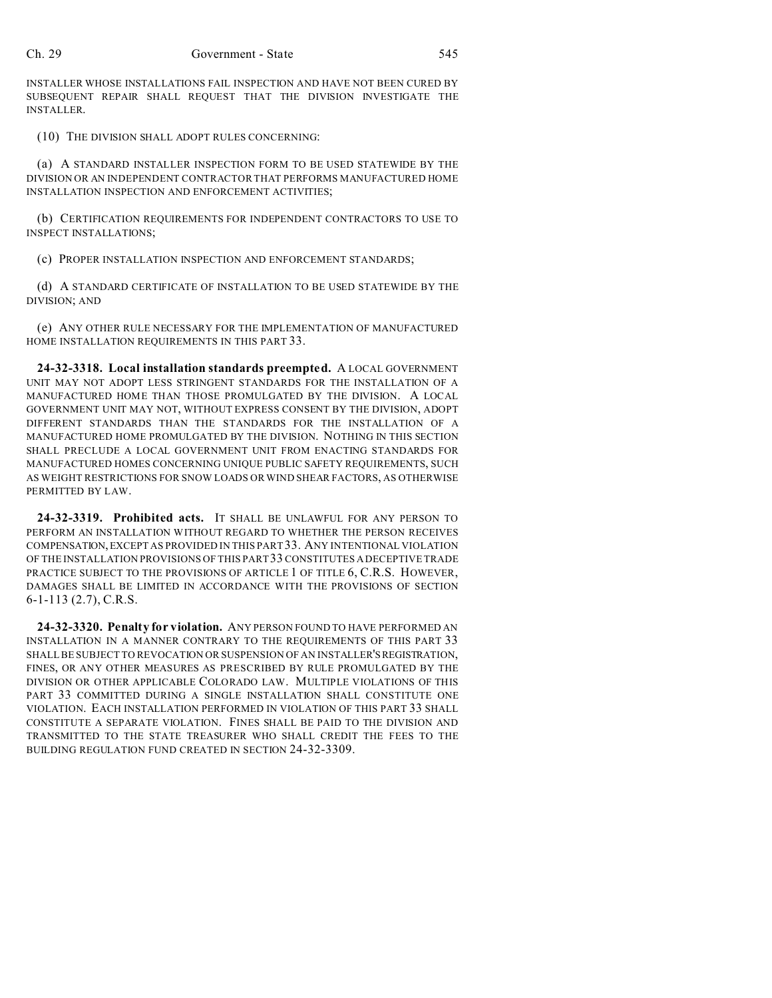INSTALLER WHOSE INSTALLATIONS FAIL INSPECTION AND HAVE NOT BEEN CURED BY SUBSEQUENT REPAIR SHALL REQUEST THAT THE DIVISION INVESTIGATE THE INSTALLER.

(10) THE DIVISION SHALL ADOPT RULES CONCERNING:

(a) A STANDARD INSTALLER INSPECTION FORM TO BE USED STATEWIDE BY THE DIVISION OR AN INDEPENDENT CONTRACTOR THAT PERFORMS MANUFACTURED HOME INSTALLATION INSPECTION AND ENFORCEMENT ACTIVITIES;

(b) CERTIFICATION REQUIREMENTS FOR INDEPENDENT CONTRACTORS TO USE TO INSPECT INSTALLATIONS;

(c) PROPER INSTALLATION INSPECTION AND ENFORCEMENT STANDARDS;

(d) A STANDARD CERTIFICATE OF INSTALLATION TO BE USED STATEWIDE BY THE DIVISION; AND

(e) ANY OTHER RULE NECESSARY FOR THE IMPLEMENTATION OF MANUFACTURED HOME INSTALLATION REQUIREMENTS IN THIS PART 33.

**24-32-3318. Local installation standards preempted.** A LOCAL GOVERNMENT UNIT MAY NOT ADOPT LESS STRINGENT STANDARDS FOR THE INSTALLATION OF A MANUFACTURED HOME THAN THOSE PROMULGATED BY THE DIVISION. A LOCAL GOVERNMENT UNIT MAY NOT, WITHOUT EXPRESS CONSENT BY THE DIVISION, ADOPT DIFFERENT STANDARDS THAN THE STANDARDS FOR THE INSTALLATION OF A MANUFACTURED HOME PROMULGATED BY THE DIVISION. NOTHING IN THIS SECTION SHALL PRECLUDE A LOCAL GOVERNMENT UNIT FROM ENACTING STANDARDS FOR MANUFACTURED HOMES CONCERNING UNIQUE PUBLIC SAFETY REQUIREMENTS, SUCH AS WEIGHT RESTRICTIONS FOR SNOW LOADS OR WIND SHEAR FACTORS, AS OTHERWISE PERMITTED BY LAW.

**24-32-3319. Prohibited acts.** IT SHALL BE UNLAWFUL FOR ANY PERSON TO PERFORM AN INSTALLATION WITHOUT REGARD TO WHETHER THE PERSON RECEIVES COMPENSATION,EXCEPT AS PROVIDED IN THIS PART 33. ANY INTENTIONAL VIOLATION OF THE INSTALLATION PROVISIONS OF THIS PART 33 CONSTITUTES A DECEPTIVE TRADE PRACTICE SUBJECT TO THE PROVISIONS OF ARTICLE 1 OF TITLE 6, C.R.S. HOWEVER, DAMAGES SHALL BE LIMITED IN ACCORDANCE WITH THE PROVISIONS OF SECTION 6-1-113 (2.7), C.R.S.

**24-32-3320. Penalty for violation.** ANY PERSON FOUND TO HAVE PERFORMED AN INSTALLATION IN A MANNER CONTRARY TO THE REQUIREMENTS OF THIS PART 33 SHALL BE SUBJECT TO REVOCATION OR SUSPENSION OF AN INSTALLER'SREGISTRATION, FINES, OR ANY OTHER MEASURES AS PRESCRIBED BY RULE PROMULGATED BY THE DIVISION OR OTHER APPLICABLE COLORADO LAW. MULTIPLE VIOLATIONS OF THIS PART 33 COMMITTED DURING A SINGLE INSTALLATION SHALL CONSTITUTE ONE VIOLATION. EACH INSTALLATION PERFORMED IN VIOLATION OF THIS PART 33 SHALL CONSTITUTE A SEPARATE VIOLATION. FINES SHALL BE PAID TO THE DIVISION AND TRANSMITTED TO THE STATE TREASURER WHO SHALL CREDIT THE FEES TO THE BUILDING REGULATION FUND CREATED IN SECTION 24-32-3309.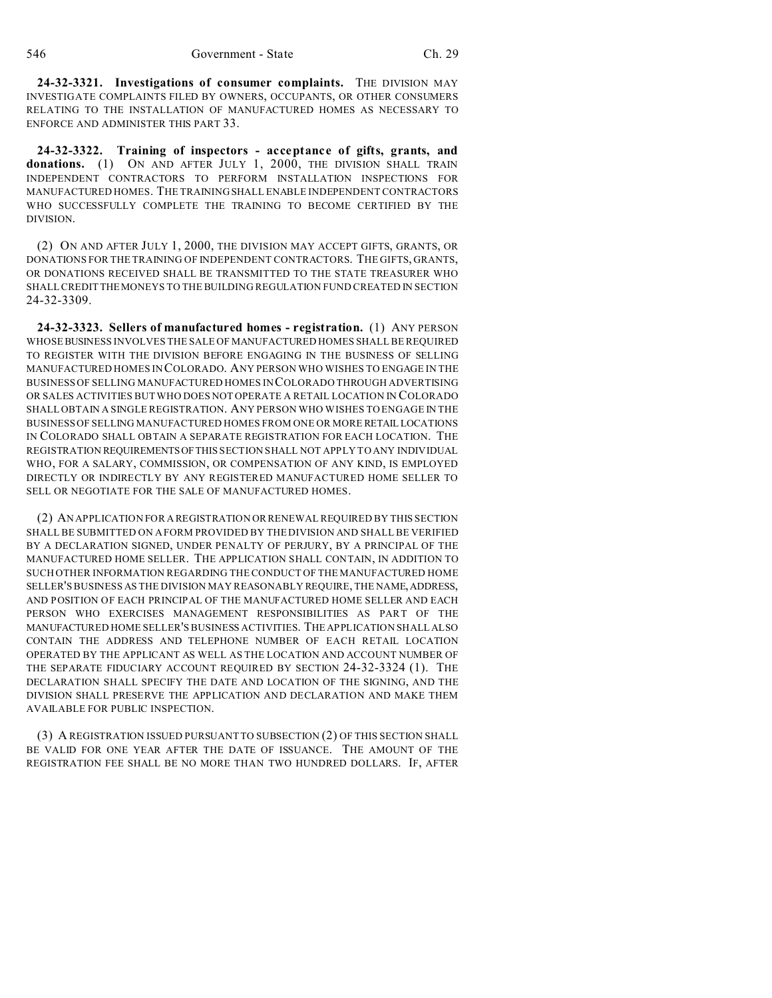**24-32-3321. Investigations of consumer complaints.** THE DIVISION MAY INVESTIGATE COMPLAINTS FILED BY OWNERS, OCCUPANTS, OR OTHER CONSUMERS RELATING TO THE INSTALLATION OF MANUFACTURED HOMES AS NECESSARY TO ENFORCE AND ADMINISTER THIS PART 33.

**24-32-3322. Training of inspectors - acceptance of gifts, grants, and** donations. (1) ON AND AFTER JULY 1, 2000, THE DIVISION SHALL TRAIN INDEPENDENT CONTRACTORS TO PERFORM INSTALLATION INSPECTIONS FOR MANUFACTURED HOMES. THE TRAINING SHALL ENABLE INDEPENDENT CONTRACTORS WHO SUCCESSFULLY COMPLETE THE TRAINING TO BECOME CERTIFIED BY THE DIVISION.

(2) ON AND AFTER JULY 1, 2000, THE DIVISION MAY ACCEPT GIFTS, GRANTS, OR DONATIONS FOR THE TRAINING OF INDEPENDENT CONTRACTORS. THE GIFTS, GRANTS, OR DONATIONS RECEIVED SHALL BE TRANSMITTED TO THE STATE TREASURER WHO SHALL CREDIT THE MONEYS TO THE BUILDING REGULATION FUND CREATED IN SECTION 24-32-3309.

**24-32-3323. Sellers of manufactured homes - registration.** (1) ANY PERSON WHOSEBUSINESS INVOLVES THE SALE OF MANUFACTURED HOMES SHALL BE REQUIRED TO REGISTER WITH THE DIVISION BEFORE ENGAGING IN THE BUSINESS OF SELLING MANUFACTURED HOMES IN COLORADO. ANY PERSON WHO WISHES TO ENGAGE IN THE BUSINESS OF SELLING MANUFACTURED HOMES IN COLORADO THROUGH ADVERTISING OR SALES ACTIVITIES BUT WHO DOES NOT OPERATE A RETAIL LOCATION IN COLORADO SHALL OBTAIN A SINGLE REGISTRATION. ANY PERSON WHO WISHES TO ENGAGE IN THE BUSINESS OF SELLING MANUFACTURED HOMES FROM ONE OR MORE RETAIL LOCATIONS IN COLORADO SHALL OBTAIN A SEPARATE REGISTRATION FOR EACH LOCATION. THE REGISTRATION REQUIREMENTSOF THIS SECTION SHALL NOT APPLY TO ANY INDIVIDUAL WHO, FOR A SALARY, COMMISSION, OR COMPENSATION OF ANY KIND, IS EMPLOYED DIRECTLY OR INDIRECTLY BY ANY REGISTERED MANUFACTURED HOME SELLER TO SELL OR NEGOTIATE FOR THE SALE OF MANUFACTURED HOMES.

(2) AN APPLICATION FOR A REGISTRATION OR RENEWAL REQUIRED BY THIS SECTION SHALL BE SUBMITTED ON A FORM PROVIDED BY THE DIVISION AND SHALL BE VERIFIED BY A DECLARATION SIGNED, UNDER PENALTY OF PERJURY, BY A PRINCIPAL OF THE MANUFACTURED HOME SELLER. THE APPLICATION SHALL CONTAIN, IN ADDITION TO SUCH OTHER INFORMATION REGARDING THE CONDUCT OF THE MANUFACTURED HOME SELLER'S BUSINESS AS THE DIVISION MAY REASONABLY REQUIRE, THE NAME,ADDRESS, AND POSITION OF EACH PRINCIPAL OF THE MANUFACTURED HOME SELLER AND EACH PERSON WHO EXERCISES MANAGEMENT RESPONSIBILITIES AS PART OF THE MANUFACTURED HOME SELLER'S BUSINESS ACTIVITIES. THE APPLICATION SHALL ALSO CONTAIN THE ADDRESS AND TELEPHONE NUMBER OF EACH RETAIL LOCATION OPERATED BY THE APPLICANT AS WELL AS THE LOCATION AND ACCOUNT NUMBER OF THE SEPARATE FIDUCIARY ACCOUNT REQUIRED BY SECTION 24-32-3324 (1). THE DECLARATION SHALL SPECIFY THE DATE AND LOCATION OF THE SIGNING, AND THE DIVISION SHALL PRESERVE THE APPLICATION AND DECLARATION AND MAKE THEM AVAILABLE FOR PUBLIC INSPECTION.

(3) A REGISTRATION ISSUED PURSUANT TO SUBSECTION (2) OF THIS SECTION SHALL BE VALID FOR ONE YEAR AFTER THE DATE OF ISSUANCE. THE AMOUNT OF THE REGISTRATION FEE SHALL BE NO MORE THAN TWO HUNDRED DOLLARS. IF, AFTER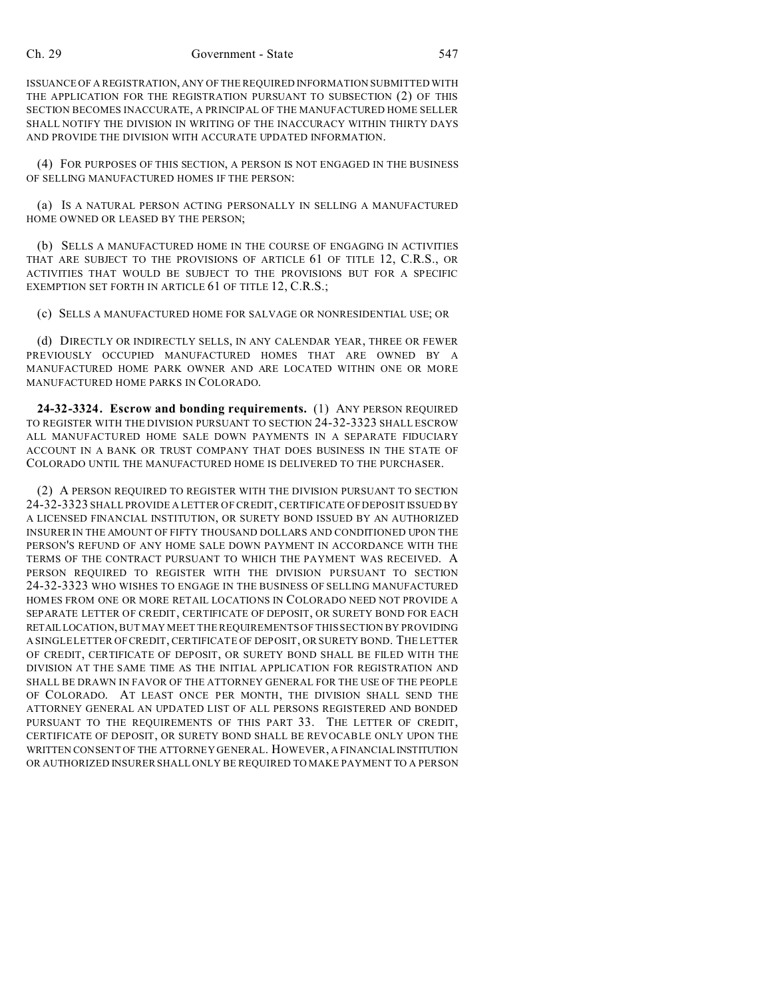ISSUANCE OF A REGISTRATION, ANY OF THE REQUIRED INFORMATION SUBMITTED WITH THE APPLICATION FOR THE REGISTRATION PURSUANT TO SUBSECTION (2) OF THIS SECTION BECOMES INACCURATE, A PRINCIPAL OF THE MANUFACTURED HOME SELLER SHALL NOTIFY THE DIVISION IN WRITING OF THE INACCURACY WITHIN THIRTY DAYS AND PROVIDE THE DIVISION WITH ACCURATE UPDATED INFORMATION.

(4) FOR PURPOSES OF THIS SECTION, A PERSON IS NOT ENGAGED IN THE BUSINESS OF SELLING MANUFACTURED HOMES IF THE PERSON:

(a) IS A NATURAL PERSON ACTING PERSONALLY IN SELLING A MANUFACTURED HOME OWNED OR LEASED BY THE PERSON;

(b) SELLS A MANUFACTURED HOME IN THE COURSE OF ENGAGING IN ACTIVITIES THAT ARE SUBJECT TO THE PROVISIONS OF ARTICLE 61 OF TITLE 12, C.R.S., OR ACTIVITIES THAT WOULD BE SUBJECT TO THE PROVISIONS BUT FOR A SPECIFIC EXEMPTION SET FORTH IN ARTICLE 61 OF TITLE 12, C.R.S.;

(c) SELLS A MANUFACTURED HOME FOR SALVAGE OR NONRESIDENTIAL USE; OR

(d) DIRECTLY OR INDIRECTLY SELLS, IN ANY CALENDAR YEAR, THREE OR FEWER PREVIOUSLY OCCUPIED MANUFACTURED HOMES THAT ARE OWNED BY A MANUFACTURED HOME PARK OWNER AND ARE LOCATED WITHIN ONE OR MORE MANUFACTURED HOME PARKS IN COLORADO.

**24-32-3324. Escrow and bonding requirements.** (1) ANY PERSON REQUIRED TO REGISTER WITH THE DIVISION PURSUANT TO SECTION 24-32-3323 SHALL ESCROW ALL MANUFACTURED HOME SALE DOWN PAYMENTS IN A SEPARATE FIDUCIARY ACCOUNT IN A BANK OR TRUST COMPANY THAT DOES BUSINESS IN THE STATE OF COLORADO UNTIL THE MANUFACTURED HOME IS DELIVERED TO THE PURCHASER.

(2) A PERSON REQUIRED TO REGISTER WITH THE DIVISION PURSUANT TO SECTION 24-32-3323 SHALL PROVIDE A LETTER OF CREDIT, CERTIFICATE OF DEPOSIT ISSUED BY A LICENSED FINANCIAL INSTITUTION, OR SURETY BOND ISSUED BY AN AUTHORIZED INSURER IN THE AMOUNT OF FIFTY THOUSAND DOLLARS AND CONDITIONED UPON THE PERSON'S REFUND OF ANY HOME SALE DOWN PAYMENT IN ACCORDANCE WITH THE TERMS OF THE CONTRACT PURSUANT TO WHICH THE PAYMENT WAS RECEIVED. A PERSON REQUIRED TO REGISTER WITH THE DIVISION PURSUANT TO SECTION 24-32-3323 WHO WISHES TO ENGAGE IN THE BUSINESS OF SELLING MANUFACTURED HOMES FROM ONE OR MORE RETAIL LOCATIONS IN COLORADO NEED NOT PROVIDE A SEPARATE LETTER OF CREDIT, CERTIFICATE OF DEPOSIT, OR SURETY BOND FOR EACH RETAILLOCATION, BUT MAY MEET THE REQUIREMENTS OF THIS SECTION BY PROVIDING A SINGLE LETTER OF CREDIT, CERTIFICATE OF DEPOSIT, OR SURETY BOND. THE LETTER OF CREDIT, CERTIFICATE OF DEPOSIT, OR SURETY BOND SHALL BE FILED WITH THE DIVISION AT THE SAME TIME AS THE INITIAL APPLICATION FOR REGISTRATION AND SHALL BE DRAWN IN FAVOR OF THE ATTORNEY GENERAL FOR THE USE OF THE PEOPLE OF COLORADO. AT LEAST ONCE PER MONTH, THE DIVISION SHALL SEND THE ATTORNEY GENERAL AN UPDATED LIST OF ALL PERSONS REGISTERED AND BONDED PURSUANT TO THE REQUIREMENTS OF THIS PART 33. THE LETTER OF CREDIT, CERTIFICATE OF DEPOSIT, OR SURETY BOND SHALL BE REVOCABLE ONLY UPON THE WRITTEN CONSENT OF THE ATTORNEY GENERAL. HOWEVER, A FINANCIAL INSTITUTION OR AUTHORIZED INSURER SHALL ONLY BE REQUIRED TO MAKE PAYMENT TO A PERSON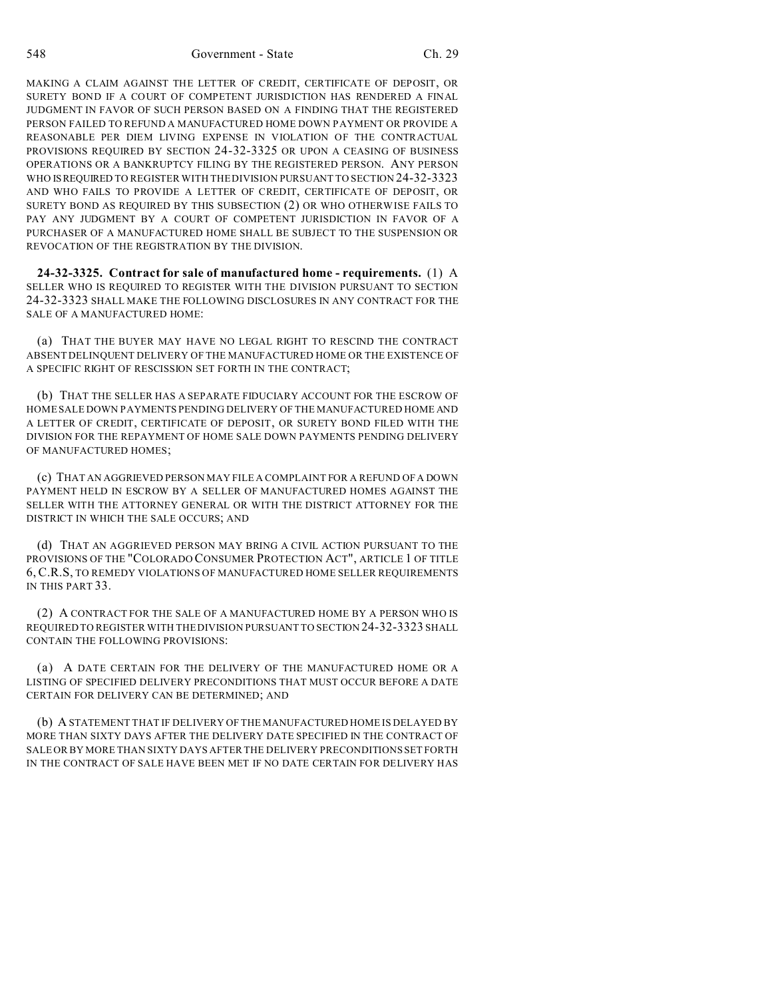MAKING A CLAIM AGAINST THE LETTER OF CREDIT, CERTIFICATE OF DEPOSIT, OR SURETY BOND IF A COURT OF COMPETENT JURISDICTION HAS RENDERED A FINAL JUDGMENT IN FAVOR OF SUCH PERSON BASED ON A FINDING THAT THE REGISTERED PERSON FAILED TO REFUND A MANUFACTURED HOME DOWN PAYMENT OR PROVIDE A REASONABLE PER DIEM LIVING EXPENSE IN VIOLATION OF THE CONTRACTUAL PROVISIONS REQUIRED BY SECTION 24-32-3325 OR UPON A CEASING OF BUSINESS OPERATIONS OR A BANKRUPTCY FILING BY THE REGISTERED PERSON. ANY PERSON WHO IS REQUIRED TO REGISTER WITH THE DIVISION PURSUANT TO SECTION 24-32-3323 AND WHO FAILS TO PROVIDE A LETTER OF CREDIT, CERTIFICATE OF DEPOSIT, OR SURETY BOND AS REQUIRED BY THIS SUBSECTION (2) OR WHO OTHERWISE FAILS TO PAY ANY JUDGMENT BY A COURT OF COMPETENT JURISDICTION IN FAVOR OF A PURCHASER OF A MANUFACTURED HOME SHALL BE SUBJECT TO THE SUSPENSION OR REVOCATION OF THE REGISTRATION BY THE DIVISION.

**24-32-3325. Contract for sale of manufactured home - requirements.** (1) A SELLER WHO IS REQUIRED TO REGISTER WITH THE DIVISION PURSUANT TO SECTION 24-32-3323 SHALL MAKE THE FOLLOWING DISCLOSURES IN ANY CONTRACT FOR THE SALE OF A MANUFACTURED HOME:

(a) THAT THE BUYER MAY HAVE NO LEGAL RIGHT TO RESCIND THE CONTRACT ABSENT DELINQUENT DELIVERY OF THE MANUFACTURED HOME OR THE EXISTENCE OF A SPECIFIC RIGHT OF RESCISSION SET FORTH IN THE CONTRACT;

(b) THAT THE SELLER HAS A SEPARATE FIDUCIARY ACCOUNT FOR THE ESCROW OF HOME SALE DOWN PAYMENTS PENDING DELIVERY OF THE MANUFACTURED HOME AND A LETTER OF CREDIT, CERTIFICATE OF DEPOSIT, OR SURETY BOND FILED WITH THE DIVISION FOR THE REPAYMENT OF HOME SALE DOWN PAYMENTS PENDING DELIVERY OF MANUFACTURED HOMES;

(c) THAT AN AGGRIEVED PERSON MAY FILE A COMPLAINT FOR A REFUND OF A DOWN PAYMENT HELD IN ESCROW BY A SELLER OF MANUFACTURED HOMES AGAINST THE SELLER WITH THE ATTORNEY GENERAL OR WITH THE DISTRICT ATTORNEY FOR THE DISTRICT IN WHICH THE SALE OCCURS; AND

(d) THAT AN AGGRIEVED PERSON MAY BRING A CIVIL ACTION PURSUANT TO THE PROVISIONS OF THE "COLORADO CONSUMER PROTECTION ACT", ARTICLE 1 OF TITLE 6, C.R.S, TO REMEDY VIOLATIONS OF MANUFACTURED HOME SELLER REQUIREMENTS IN THIS PART 33.

(2) A CONTRACT FOR THE SALE OF A MANUFACTURED HOME BY A PERSON WHO IS REQUIRED TO REGISTER WITH THE DIVISION PURSUANT TO SECTION 24-32-3323 SHALL CONTAIN THE FOLLOWING PROVISIONS:

(a) A DATE CERTAIN FOR THE DELIVERY OF THE MANUFACTURED HOME OR A LISTING OF SPECIFIED DELIVERY PRECONDITIONS THAT MUST OCCUR BEFORE A DATE CERTAIN FOR DELIVERY CAN BE DETERMINED; AND

(b) A STATEMENT THAT IF DELIVERY OF THE MANUFACTURED HOME IS DELAYED BY MORE THAN SIXTY DAYS AFTER THE DELIVERY DATE SPECIFIED IN THE CONTRACT OF SALE OR BY MORE THAN SIXTY DAYS AFTER THE DELIVERY PRECONDITIONS SET FORTH IN THE CONTRACT OF SALE HAVE BEEN MET IF NO DATE CERTAIN FOR DELIVERY HAS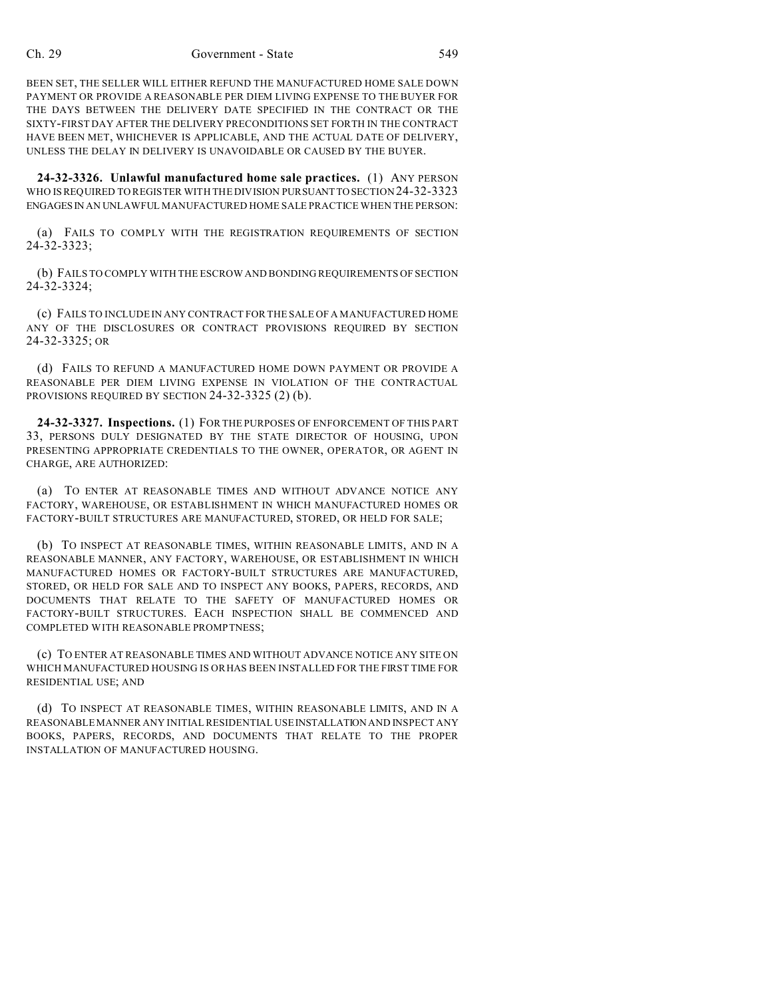BEEN SET, THE SELLER WILL EITHER REFUND THE MANUFACTURED HOME SALE DOWN PAYMENT OR PROVIDE A REASONABLE PER DIEM LIVING EXPENSE TO THE BUYER FOR THE DAYS BETWEEN THE DELIVERY DATE SPECIFIED IN THE CONTRACT OR THE SIXTY-FIRST DAY AFTER THE DELIVERY PRECONDITIONS SET FORTH IN THE CONTRACT HAVE BEEN MET, WHICHEVER IS APPLICABLE, AND THE ACTUAL DATE OF DELIVERY, UNLESS THE DELAY IN DELIVERY IS UNAVOIDABLE OR CAUSED BY THE BUYER.

**24-32-3326. Unlawful manufactured home sale practices.** (1) ANY PERSON WHO IS REQUIRED TO REGISTER WITH THE DIVISION PURSUANTTO SECTION 24-32-3323 ENGAGESIN AN UNLAWFUL MANUFACTURED HOME SALE PRACTICE WHEN THE PERSON:

(a) FAILS TO COMPLY WITH THE REGISTRATION REQUIREMENTS OF SECTION 24-32-3323;

(b) FAILS TO COMPLY WITH THE ESCROW AND BONDING REQUIREMENTS OF SECTION 24-32-3324;

(c) FAILS TO INCLUDE IN ANY CONTRACT FOR THE SALE OF A MANUFACTURED HOME ANY OF THE DISCLOSURES OR CONTRACT PROVISIONS REQUIRED BY SECTION 24-32-3325; OR

(d) FAILS TO REFUND A MANUFACTURED HOME DOWN PAYMENT OR PROVIDE A REASONABLE PER DIEM LIVING EXPENSE IN VIOLATION OF THE CONTRACTUAL PROVISIONS REQUIRED BY SECTION 24-32-3325 (2) (b).

**24-32-3327. Inspections.** (1) FOR THE PURPOSES OF ENFORCEMENT OF THIS PART 33, PERSONS DULY DESIGNATED BY THE STATE DIRECTOR OF HOUSING, UPON PRESENTING APPROPRIATE CREDENTIALS TO THE OWNER, OPERATOR, OR AGENT IN CHARGE, ARE AUTHORIZED:

(a) TO ENTER AT REASONABLE TIMES AND WITHOUT ADVANCE NOTICE ANY FACTORY, WAREHOUSE, OR ESTABLISHMENT IN WHICH MANUFACTURED HOMES OR FACTORY-BUILT STRUCTURES ARE MANUFACTURED, STORED, OR HELD FOR SALE;

(b) TO INSPECT AT REASONABLE TIMES, WITHIN REASONABLE LIMITS, AND IN A REASONABLE MANNER, ANY FACTORY, WAREHOUSE, OR ESTABLISHMENT IN WHICH MANUFACTURED HOMES OR FACTORY-BUILT STRUCTURES ARE MANUFACTURED, STORED, OR HELD FOR SALE AND TO INSPECT ANY BOOKS, PAPERS, RECORDS, AND DOCUMENTS THAT RELATE TO THE SAFETY OF MANUFACTURED HOMES OR FACTORY-BUILT STRUCTURES. EACH INSPECTION SHALL BE COMMENCED AND COMPLETED WITH REASONABLE PROMPTNESS;

(c) TO ENTER AT REASONABLE TIMES AND WITHOUT ADVANCE NOTICE ANY SITE ON WHICH MANUFACTURED HOUSING IS OR HAS BEEN INSTALLED FOR THE FIRST TIME FOR RESIDENTIAL USE; AND

(d) TO INSPECT AT REASONABLE TIMES, WITHIN REASONABLE LIMITS, AND IN A REASONABLE MANNER ANY INITIAL RESIDENTIAL USE INSTALLATION AND INSPECT ANY BOOKS, PAPERS, RECORDS, AND DOCUMENTS THAT RELATE TO THE PROPER INSTALLATION OF MANUFACTURED HOUSING.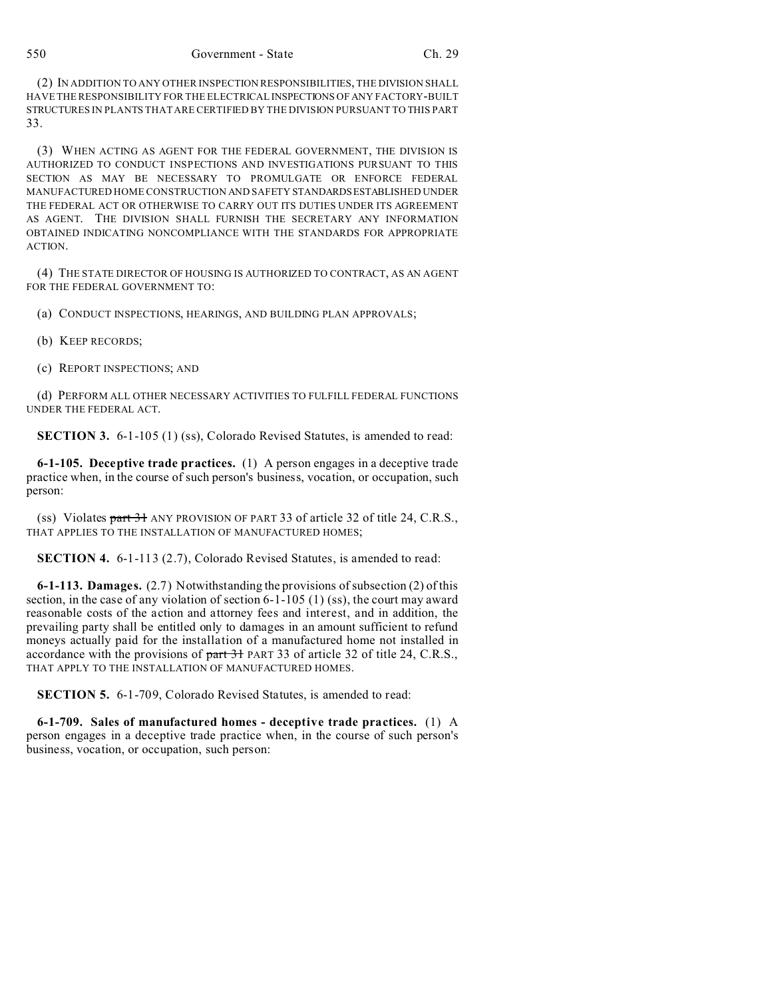(2) IN ADDITION TO ANY OTHER INSPECTION RESPONSIBILITIES, THE DIVISION SHALL HAVE THE RESPONSIBILITY FOR THE ELECTRICAL INSPECTIONS OF ANY FACTORY-BUILT STRUCTURES IN PLANTS THAT ARE CERTIFIED BY THE DIVISION PURSUANT TO THIS PART 33.

(3) WHEN ACTING AS AGENT FOR THE FEDERAL GOVERNMENT, THE DIVISION IS AUTHORIZED TO CONDUCT INSPECTIONS AND INVESTIGATIONS PURSUANT TO THIS SECTION AS MAY BE NECESSARY TO PROMULGATE OR ENFORCE FEDERAL MANUFACTURED HOME CONSTRUCTION AND SAFETY STANDARDSESTABLISHED UNDER THE FEDERAL ACT OR OTHERWISE TO CARRY OUT ITS DUTIES UNDER ITS AGREEMENT AS AGENT. THE DIVISION SHALL FURNISH THE SECRETARY ANY INFORMATION OBTAINED INDICATING NONCOMPLIANCE WITH THE STANDARDS FOR APPROPRIATE ACTION.

(4) THE STATE DIRECTOR OF HOUSING IS AUTHORIZED TO CONTRACT, AS AN AGENT FOR THE FEDERAL GOVERNMENT TO:

(a) CONDUCT INSPECTIONS, HEARINGS, AND BUILDING PLAN APPROVALS;

- (b) KEEP RECORDS;
- (c) REPORT INSPECTIONS; AND

(d) PERFORM ALL OTHER NECESSARY ACTIVITIES TO FULFILL FEDERAL FUNCTIONS UNDER THE FEDERAL ACT.

**SECTION 3.** 6-1-105 (1) (ss), Colorado Revised Statutes, is amended to read:

**6-1-105. Deceptive trade practices.** (1) A person engages in a deceptive trade practice when, in the course of such person's business, vocation, or occupation, such person:

(ss) Violates part 31 ANY PROVISION OF PART 33 of article 32 of title 24, C.R.S., THAT APPLIES TO THE INSTALLATION OF MANUFACTURED HOMES;

**SECTION 4.** 6-1-113 (2.7), Colorado Revised Statutes, is amended to read:

**6-1-113. Damages.** (2.7) Notwithstanding the provisions of subsection (2) of this section, in the case of any violation of section 6-1-105 (1) (ss), the court may award reasonable costs of the action and attorney fees and interest, and in addition, the prevailing party shall be entitled only to damages in an amount sufficient to refund moneys actually paid for the installation of a manufactured home not installed in accordance with the provisions of part 31 PART 33 of article 32 of title 24, C.R.S., THAT APPLY TO THE INSTALLATION OF MANUFACTURED HOMES.

**SECTION 5.** 6-1-709, Colorado Revised Statutes, is amended to read:

**6-1-709. Sales of manufactured homes - deceptive trade practices.** (1) A person engages in a deceptive trade practice when, in the course of such person's business, vocation, or occupation, such person: